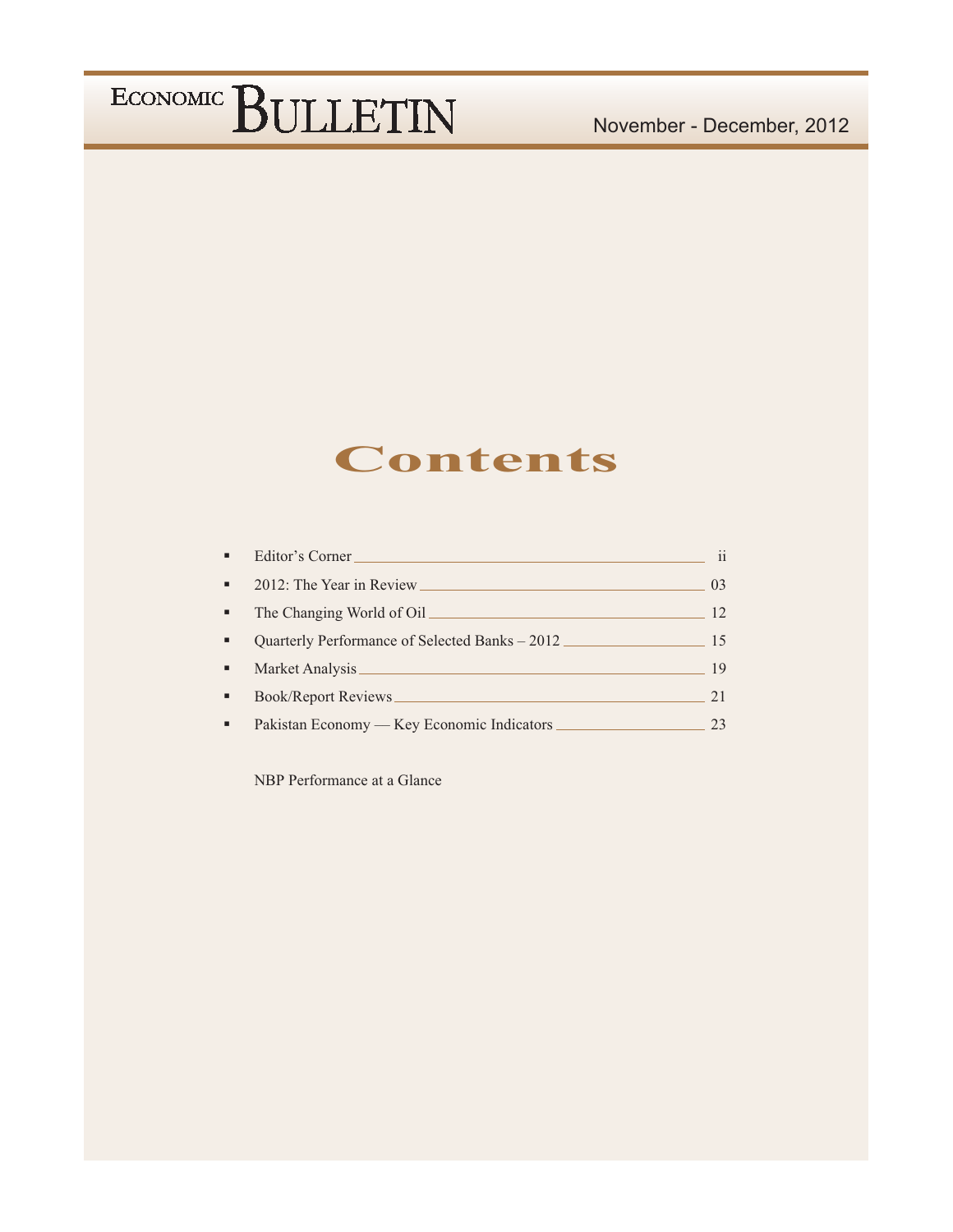### **Contents**

| ×,             | Editor's Corner                                | $\mathbf{ii}$   |
|----------------|------------------------------------------------|-----------------|
| $\blacksquare$ |                                                | 0 <sup>3</sup>  |
| ٠              |                                                | 12 <sup>°</sup> |
| ٠              | Quarterly Performance of Selected Banks – 2012 | 15              |
| ٠              | Market Analysis                                | 19              |
| ٠              | <b>Book/Report Reviews</b>                     | 21              |
| ٠              |                                                | 23              |

NBP Performance at a Glance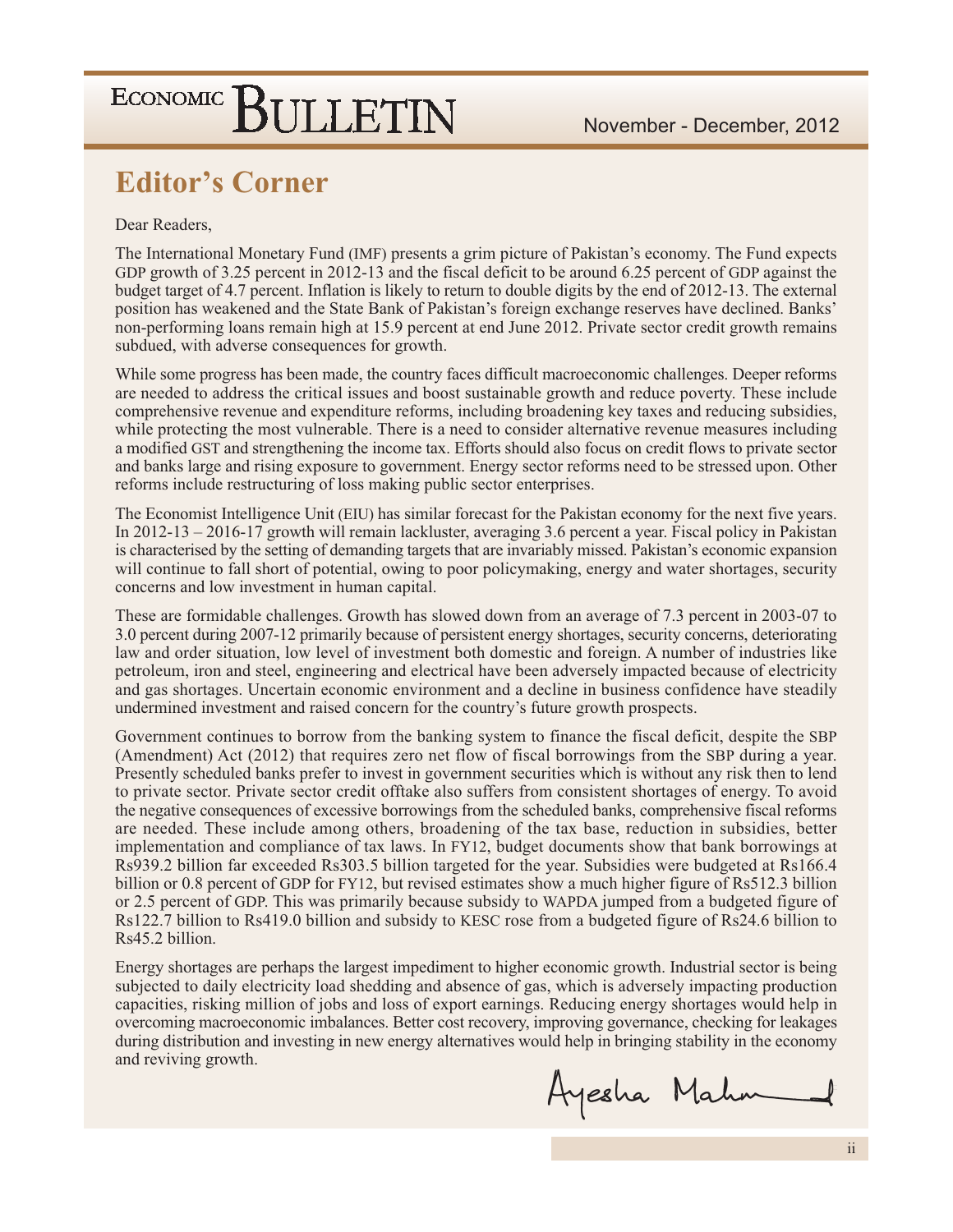### **Editor's Corner**

### Dear Readers.

The International Monetary Fund (IMF) presents a grim picture of Pakistan's economy. The Fund expects GDP growth of 3.25 percent in 2012-13 and the fiscal deficit to be around 6.25 percent of GDP against the budget target of 4.7 percent. Inflation is likely to return to double digits by the end of 2012-13. The external position has weakened and the State Bank of Pakistan's foreign exchange reserves have declined. Banks' non-performing loans remain high at 15.9 percent at end June 2012. Private sector credit growth remains subdued, with adverse consequences for growth.

While some progress has been made, the country faces difficult macroeconomic challenges. Deeper reforms are needed to address the critical issues and boost sustainable growth and reduce poverty. These include comprehensive revenue and expenditure reforms, including broadening key taxes and reducing subsidies, while protecting the most vulnerable. There is a need to consider alternative revenue measures including a modified GST and strengthening the income tax. Efforts should also focus on credit flows to private sector and banks large and rising exposure to government. Energy sector reforms need to be stressed upon. Other reforms include restructuring of loss making public sector enterprises.

The Economist Intelligence Unit (EIU) has similar forecast for the Pakistan economy for the next five years. In  $2012-13-2016-17$  growth will remain lackluster, averaging 3.6 percent a year. Fiscal policy in Pakistan is characterised by the setting of demanding targets that are invariably missed. Pakistan's economic expansion will continue to fall short of potential, owing to poor policymaking, energy and water shortages, security concerns and low investment in human capital.

These are formidable challenges. Growth has slowed down from an average of 7.3 percent in 2003-07 to 3.0 percent during 2007-12 primarily because of persistent energy shortages, security concerns, deteriorating law and order situation, low level of investment both domestic and foreign. A number of industries like petroleum, iron and steel, engineering and electrical have been adversely impacted because of electricity and gas shortages. Uncertain economic environment and a decline in business confidence have steadily undermined investment and raised concern for the country's future growth prospects.

Government continues to borrow from the banking system to finance the fiscal deficit, despite the SBP (Amendment) Act (2012) that requires zero net flow of fiscal borrowings from the SBP during a year. Presently scheduled banks prefer to invest in government securities which is without any risk then to lend to private sector. Private sector credit offtake also suffers from consistent shortages of energy. To avoid the negative consequences of excessive borrowings from the scheduled banks, comprehensive fiscal reforms are needed. These include among others, broadening of the tax base, reduction in subsidies, better implementation and compliance of tax laws. In FY12, budget documents show that bank borrowings at Rs939.2 billion far exceeded Rs303.5 billion targeted for the year. Subsidies were budgeted at Rs166.4 billion or 0.8 percent of GDP for FY12, but revised estimates show a much higher figure of Rs512.3 billion or 2.5 percent of GDP. This was primarily because subsidy to WAPDA jumped from a budgeted figure of Rs122.7 billion to Rs419.0 billion and subsidy to KESC rose from a budgeted figure of Rs24.6 billion to Rs45.2 billion.

Energy shortages are perhaps the largest impediment to higher economic growth. Industrial sector is being subjected to daily electricity load shedding and absence of gas, which is adversely impacting production capacities, risking million of jobs and loss of export earnings. Reducing energy shortages would help in overcoming macroeconomic imbalances. Better cost recovery, improving governance, checking for leakages during distribution and investing in new energy alternatives would help in bringing stability in the economy and reviving growth.

Ayesha Mahn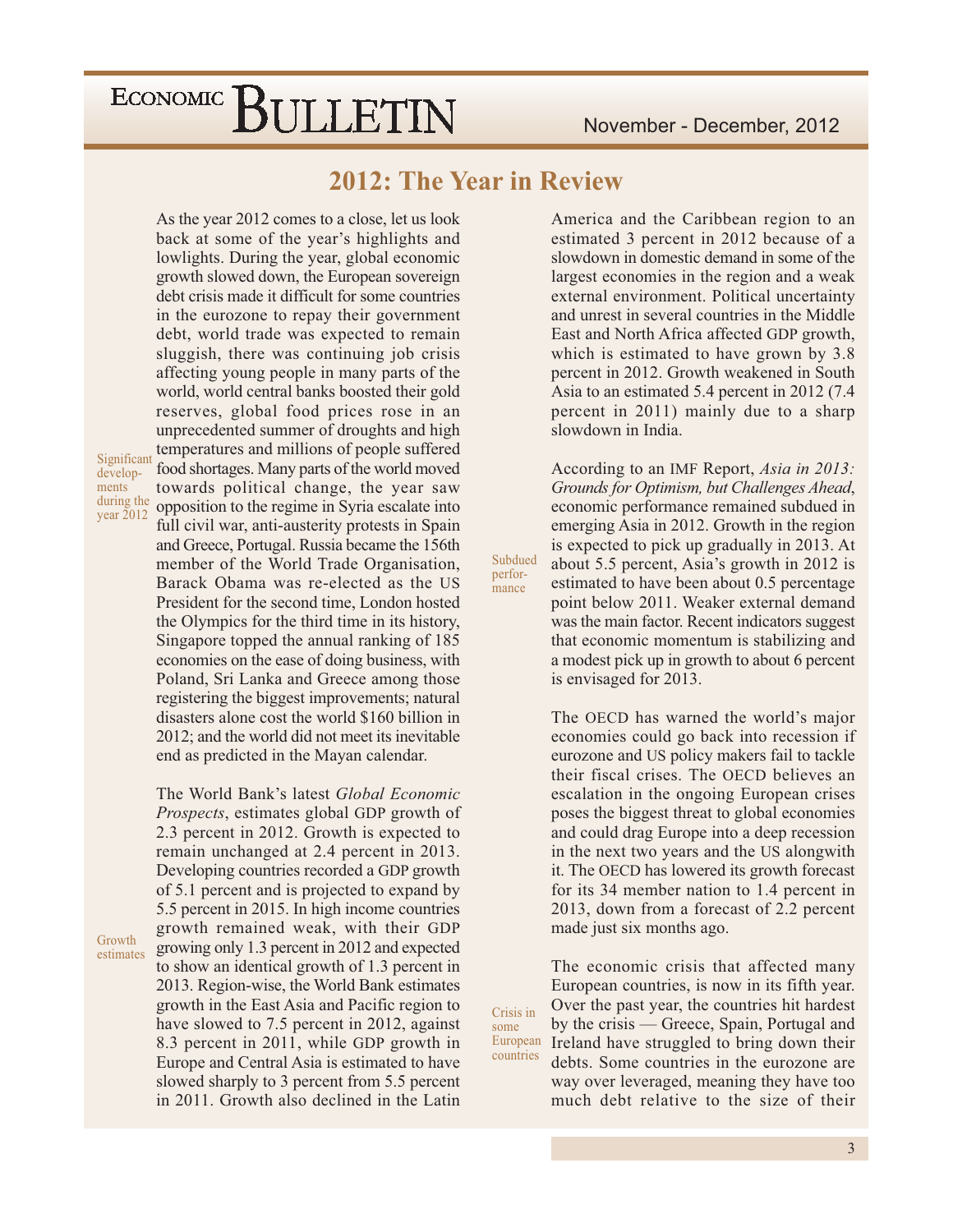As the year 2012 comes to a close, let us look

### 2012: The Year in Review

Subdued

perfor-

mance

Crisis in

countries

some

Significant developments during the year  $2012$ 

Growth

estimates

back at some of the year's highlights and lowlights. During the year, global economic growth slowed down, the European sovereign debt crisis made it difficult for some countries in the eurozone to repay their government debt, world trade was expected to remain sluggish, there was continuing job crisis affecting young people in many parts of the world, world central banks boosted their gold reserves, global food prices rose in an unprecedented summer of droughts and high temperatures and millions of people suffered food shortages. Many parts of the world moved towards political change, the year saw opposition to the regime in Syria escalate into full civil war, anti-austerity protests in Spain and Greece, Portugal. Russia became the 156th member of the World Trade Organisation, Barack Obama was re-elected as the US President for the second time, London hosted the Olympics for the third time in its history, Singapore topped the annual ranking of 185 economies on the ease of doing business, with Poland, Sri Lanka and Greece among those registering the biggest improvements; natural disasters alone cost the world \$160 billion in 2012; and the world did not meet its inevitable end as predicted in the Mayan calendar.

The World Bank's latest Global Economic Prospects, estimates global GDP growth of 2.3 percent in 2012. Growth is expected to remain unchanged at 2.4 percent in 2013. Developing countries recorded a GDP growth of 5.1 percent and is projected to expand by 5.5 percent in 2015. In high income countries growth remained weak, with their GDP growing only 1.3 percent in 2012 and expected to show an identical growth of 1.3 percent in 2013. Region-wise, the World Bank estimates growth in the East Asia and Pacific region to have slowed to 7.5 percent in 2012, against 8.3 percent in 2011, while GDP growth in Europe and Central Asia is estimated to have slowed sharply to 3 percent from 5.5 percent in 2011. Growth also declined in the Latin

America and the Caribbean region to an estimated 3 percent in 2012 because of a slowdown in domestic demand in some of the largest economies in the region and a weak external environment. Political uncertainty and unrest in several countries in the Middle East and North Africa affected GDP growth, which is estimated to have grown by 3.8 percent in 2012. Growth weakened in South Asia to an estimated 5.4 percent in 2012 (7.4) percent in 2011) mainly due to a sharp slowdown in India.

According to an IMF Report, Asia in 2013: Grounds for Optimism, but Challenges Ahead, economic performance remained subdued in emerging Asia in 2012. Growth in the region is expected to pick up gradually in 2013. At about 5.5 percent, Asia's growth in 2012 is estimated to have been about 0.5 percentage point below 2011. Weaker external demand was the main factor. Recent indicators suggest that economic momentum is stabilizing and a modest pick up in growth to about 6 percent is envisaged for 2013.

The OECD has warned the world's major economies could go back into recession if eurozone and US policy makers fail to tackle their fiscal crises. The OECD believes an escalation in the ongoing European crises poses the biggest threat to global economies and could drag Europe into a deep recession in the next two years and the US alongwith it. The OECD has lowered its growth forecast for its 34 member nation to 1.4 percent in 2013, down from a forecast of 2.2 percent made just six months ago.

The economic crisis that affected many European countries, is now in its fifth year. Over the past year, the countries hit hardest by the crisis — Greece, Spain, Portugal and European Ireland have struggled to bring down their debts. Some countries in the eurozone are way over leveraged, meaning they have too much debt relative to the size of their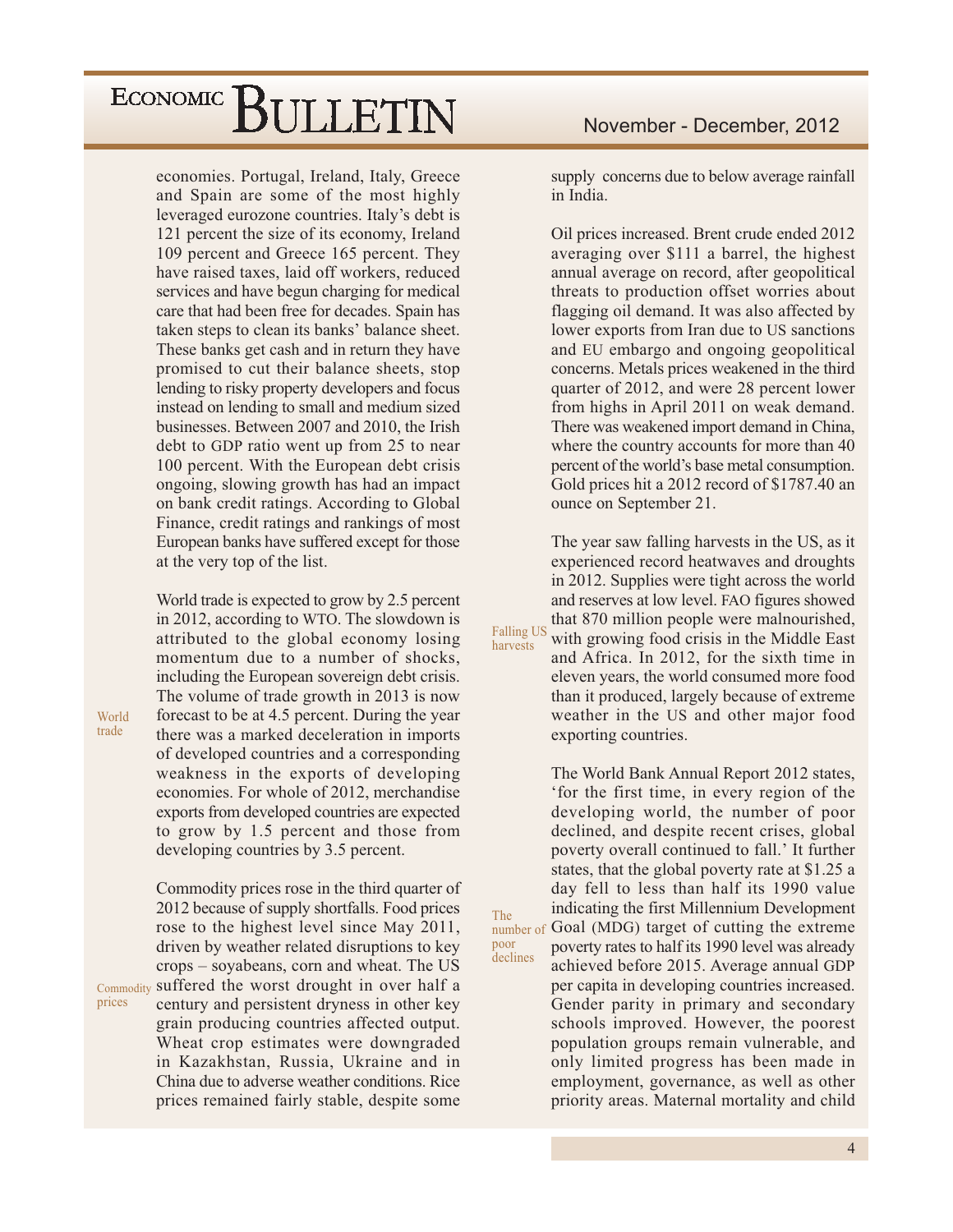economies. Portugal, Ireland, Italy, Greece and Spain are some of the most highly leveraged eurozone countries. Italy's debt is 121 percent the size of its economy, Ireland 109 percent and Greece 165 percent. They have raised taxes, laid off workers, reduced services and have begun charging for medical care that had been free for decades. Spain has taken steps to clean its banks' balance sheet. These banks get cash and in return they have promised to cut their balance sheets, stop lending to risky property developers and focus instead on lending to small and medium sized businesses. Between 2007 and 2010, the Irish debt to GDP ratio went up from 25 to near 100 percent. With the European debt crisis ongoing, slowing growth has had an impact on bank credit ratings. According to Global Finance, credit ratings and rankings of most European banks have suffered except for those at the very top of the list.

World trade is expected to grow by 2.5 percent in 2012, according to WTO. The slowdown is attributed to the global economy losing momentum due to a number of shocks. including the European sovereign debt crisis. The volume of trade growth in 2013 is now forecast to be at 4.5 percent. During the year there was a marked deceleration in imports of developed countries and a corresponding weakness in the exports of developing economies. For whole of 2012, merchandise exports from developed countries are expected to grow by 1.5 percent and those from developing countries by 3.5 percent.

Commodity prices rose in the third quarter of 2012 because of supply shortfalls. Food prices rose to the highest level since May 2011, driven by weather related disruptions to key crops – soyabeans, corn and wheat. The US Commodity suffered the worst drought in over half a century and persistent dryness in other key grain producing countries affected output. Wheat crop estimates were downgraded in Kazakhstan, Russia, Ukraine and in China due to adverse weather conditions. Rice prices remained fairly stable, despite some supply concerns due to below average rainfall in India

Oil prices increased. Brent crude ended 2012 averaging over \$111 a barrel, the highest annual average on record, after geopolitical threats to production offset worries about flagging oil demand. It was also affected by lower exports from Iran due to US sanctions and EU embargo and ongoing geopolitical concerns. Metals prices weakened in the third quarter of 2012, and were 28 percent lower from highs in April 2011 on weak demand. There was weakened import demand in China, where the country accounts for more than 40 percent of the world's base metal consumption. Gold prices hit a 2012 record of \$1787.40 an ounce on September 21.

The year saw falling harvests in the US, as it experienced record heatwaves and droughts in 2012. Supplies were tight across the world and reserves at low level. FAO figures showed that 870 million people were malnourished, **Falling US** with growing food crisis in the Middle East and Africa. In 2012, for the sixth time in eleven years, the world consumed more food than it produced, largely because of extreme weather in the US and other major food

exporting countries.

harvests

The

poor

declines

The World Bank Annual Report 2012 states, 'for the first time, in every region of the developing world, the number of poor declined, and despite recent crises, global poverty overall continued to fall.' It further states, that the global poverty rate at \$1.25 a day fell to less than half its 1990 value indicating the first Millennium Development number of Goal (MDG) target of cutting the extreme poverty rates to half its 1990 level was already achieved before 2015. Average annual GDP per capita in developing countries increased. Gender parity in primary and secondary schools improved. However, the poorest population groups remain vulnerable, and only limited progress has been made in employment, governance, as well as other priority areas. Maternal mortality and child

World trade

prices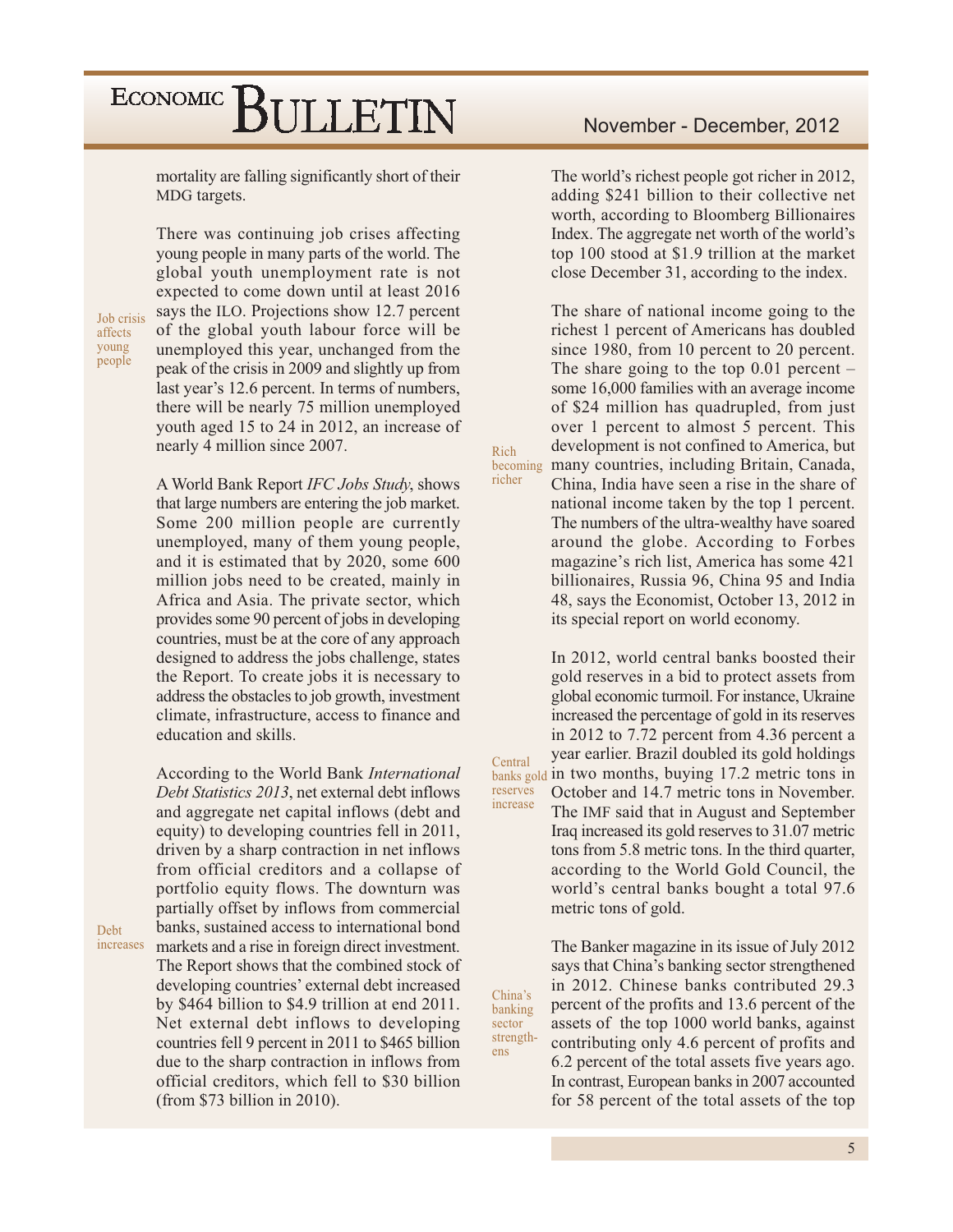mortality are falling significantly short of their MDG targets.

Job crisis affects young people

There was continuing job crises affecting young people in many parts of the world. The global youth unemployment rate is not expected to come down until at least 2016 says the ILO. Projections show 12.7 percent of the global youth labour force will be unemployed this year, unchanged from the peak of the crisis in 2009 and slightly up from last year's 12.6 percent. In terms of numbers, there will be nearly 75 million unemployed youth aged 15 to 24 in 2012, an increase of nearly 4 million since 2007.

A World Bank Report IFC Jobs Study, shows that large numbers are entering the job market. Some 200 million people are currently unemployed, many of them young people, and it is estimated that by 2020, some 600 million jobs need to be created, mainly in Africa and Asia. The private sector, which provides some 90 percent of jobs in developing countries, must be at the core of any approach designed to address the jobs challenge, states the Report. To create jobs it is necessary to address the obstacles to job growth, investment climate, infrastructure, access to finance and education and skills.

According to the World Bank International *Debt Statistics 2013*, net external debt inflows and aggregate net capital inflows (debt and equity) to developing countries fell in 2011, driven by a sharp contraction in net inflows from official creditors and a collapse of portfolio equity flows. The downturn was partially offset by inflows from commercial banks, sustained access to international bond markets and a rise in foreign direct investment. The Report shows that the combined stock of developing countries' external debt increased by \$464 billion to \$4.9 trillion at end 2011. Net external debt inflows to developing countries fell 9 percent in 2011 to \$465 billion due to the sharp contraction in inflows from official creditors, which fell to \$30 billion (from  $$73$  billion in 2010).

The world's richest people got richer in 2012, adding \$241 billion to their collective net worth, according to Bloomberg Billionaires Index. The aggregate net worth of the world's top 100 stood at \$1.9 trillion at the market close December 31, according to the index.

The share of national income going to the richest 1 percent of Americans has doubled since 1980, from 10 percent to 20 percent. The share going to the top  $0.01$  percent – some 16,000 families with an average income of \$24 million has quadrupled, from just over 1 percent to almost 5 percent. This development is not confined to America, but becoming many countries, including Britain, Canada,

Rich

richer

Central

reserves

increase

China's

banking

strength-

sector

ens

China. India have seen a rise in the share of national income taken by the top 1 percent. The numbers of the ultra-wealthy have soared around the globe. According to Forbes magazine's rich list, America has some 421 billionaires, Russia 96, China 95 and India 48, says the Economist, October 13, 2012 in its special report on world economy.

In 2012, world central banks boosted their gold reserves in a bid to protect assets from global economic turmoil. For instance, Ukraine increased the percentage of gold in its reserves in 2012 to 7.72 percent from 4.36 percent a year earlier. Brazil doubled its gold holdings banks gold in two months, buying 17.2 metric tons in October and 14.7 metric tons in November. The IMF said that in August and September Iraq increased its gold reserves to 31.07 metric tons from 5.8 metric tons. In the third quarter, according to the World Gold Council, the world's central banks bought a total 97.6 metric tons of gold.

> The Banker magazine in its issue of July 2012 says that China's banking sector strengthened in 2012. Chinese banks contributed 29.3 percent of the profits and 13.6 percent of the assets of the top 1000 world banks, against contributing only 4.6 percent of profits and 6.2 percent of the total assets five years ago. In contrast, European banks in 2007 accounted for 58 percent of the total assets of the top

Deht increases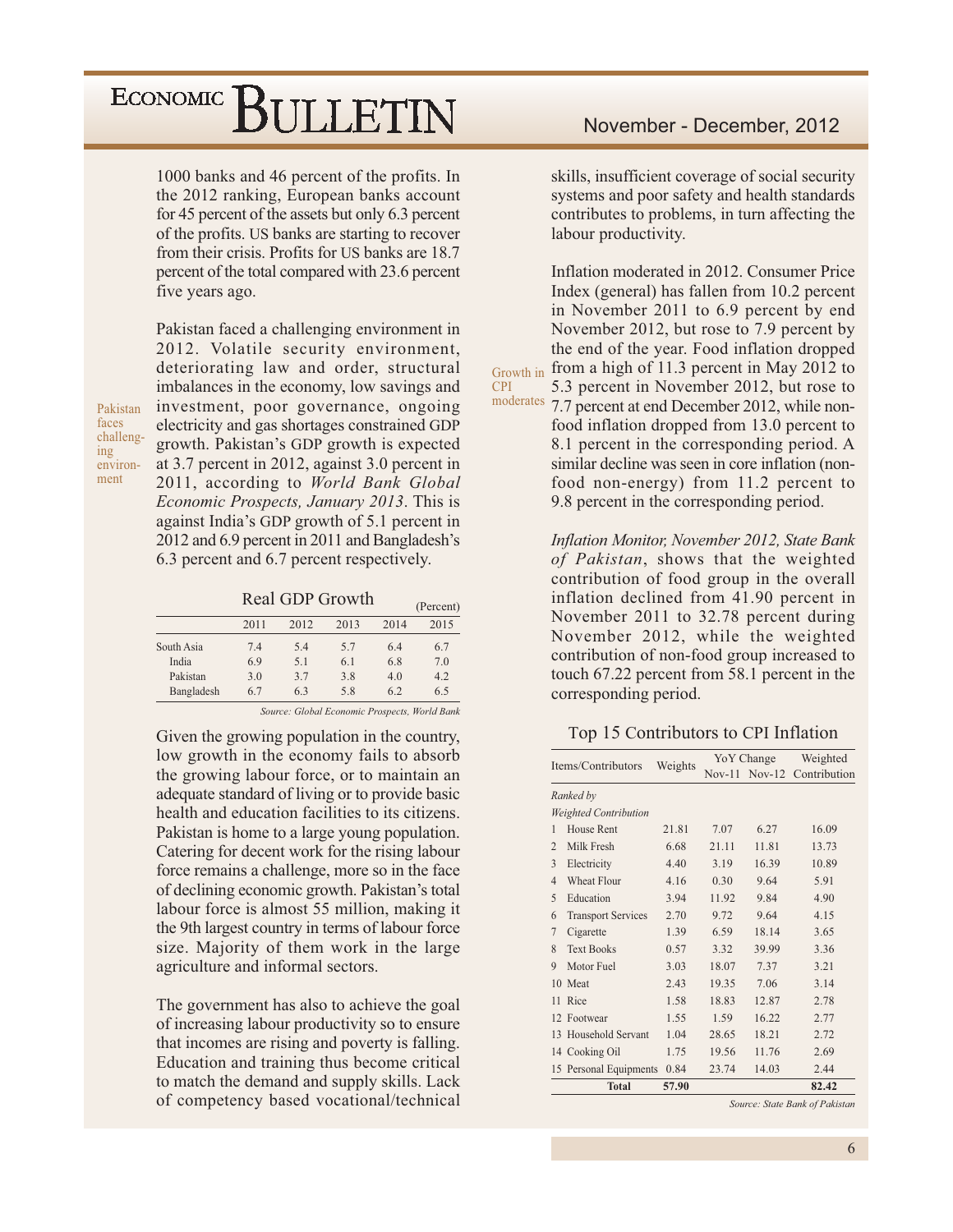1000 banks and 46 percent of the profits. In the 2012 ranking, European banks account for 45 percent of the assets but only 6.3 percent of the profits. US banks are starting to recover from their crisis. Profits for US banks are 18.7 percent of the total compared with 23.6 percent five years ago.

Pakistan faces challenging environment

Pakistan faced a challenging environment in 2012. Volatile security environment, deteriorating law and order, structural imbalances in the economy, low savings and investment, poor governance, ongoing electricity and gas shortages constrained GDP growth. Pakistan's GDP growth is expected at 3.7 percent in 2012, against 3.0 percent in 2011, according to World Bank Global Economic Prospects, January 2013. This is against India's GDP growth of 5.1 percent in 2012 and 6.9 percent in 2011 and Bangladesh's 6.3 percent and 6.7 percent respectively.

Real GDP Growth

|            |      |      |      |      | $1$ cream, |
|------------|------|------|------|------|------------|
|            | 2011 | 2012 | 2013 | 2014 | 2015       |
| South Asia | 7.4  | 5.4  | 5.7  | 6.4  | 6.7        |
| India      | 6.9  | 5.1  | 6.1  | 6.8  | 7.0        |
| Pakistan   | 3.0  | 3.7  | 3.8  | 4.0  | 4.2        |
| Bangladesh | 6.7  | 6.3  | 5.8  | 6.2  | 6.5        |
|            |      |      |      |      |            |

Source: Global Economic Prospects, World Bank

Given the growing population in the country, low growth in the economy fails to absorb the growing labour force, or to maintain an adequate standard of living or to provide basic health and education facilities to its citizens. Pakistan is home to a large young population. Catering for decent work for the rising labour force remains a challenge, more so in the face of declining economic growth. Pakistan's total labour force is almost 55 million, making it the 9th largest country in terms of labour force size. Majority of them work in the large agriculture and informal sectors.

The government has also to achieve the goal of increasing labour productivity so to ensure that incomes are rising and poverty is falling. Education and training thus become critical to match the demand and supply skills. Lack of competency based vocational/technical skills, insufficient coverage of social security systems and poor safety and health standards contributes to problems, in turn affecting the labour productivity.

Inflation moderated in 2012. Consumer Price Index (general) has fallen from 10.2 percent in November 2011 to 6.9 percent by end November 2012, but rose to 7.9 percent by the end of the year. Food inflation dropped from a high of 11.3 percent in May 2012 to Growth in 5.3 percent in November 2012, but rose to moderates 7.7 percent at end December 2012, while nonfood inflation dropped from 13.0 percent to 8.1 percent in the corresponding period. A similar decline was seen in core inflation (nonfood non-energy) from 11.2 percent to 9.8 percent in the corresponding period.

**CPI** 

Inflation Monitor, November 2012, State Bank of Pakistan, shows that the weighted contribution of food group in the overall inflation declined from 41.90 percent in November 2011 to 32.78 percent during November 2012, while the weighted contribution of non-food group increased to touch 67.22 percent from 58.1 percent in the corresponding period.

#### Top 15 Contributors to CPI Inflation

|                                |         |       | Yo Y Change | Weighted                   |  |
|--------------------------------|---------|-------|-------------|----------------------------|--|
| Items/Contributors             | Weights |       |             | Nov-11 Nov-12 Contribution |  |
| Ranked by                      |         |       |             |                            |  |
| <b>Weighted Contribution</b>   |         |       |             |                            |  |
| House Rent<br>1                | 21.81   | 7.07  | 6.27        | 16.09                      |  |
| $\mathfrak{D}$<br>Milk Fresh   | 6.68    | 21.11 | 11.81       | 13.73                      |  |
| 3<br>Electricity               | 4.40    | 3.19  | 16.39       | 10.89                      |  |
| $\overline{4}$<br>Wheat Flour  | 4.16    | 0.30  | 9.64        | 5.91                       |  |
| 5<br>Education                 | 3.94    | 11.92 | 9.84        | 4.90                       |  |
| 6<br><b>Transport Services</b> | 2.70    | 9.72  | 9.64        | 4.15                       |  |
| 7<br>Cigarette                 | 1.39    | 6.59  | 18.14       | 3.65                       |  |
| 8<br><b>Text Books</b>         | 0.57    | 3.32  | 39.99       | 3.36                       |  |
| 9<br>Motor Fuel                | 3.03    | 18.07 | 7.37        | 3.21                       |  |
| 10 Meat                        | 2.43    | 19.35 | 7.06        | 3.14                       |  |
| 11 Rice                        | 1.58    | 18.83 | 12.87       | 2.78                       |  |
| 12 Footwear                    | 1.55    | 1.59  | 16.22       | 2.77                       |  |
| 13 Household Servant           | 1.04    | 28.65 | 18.21       | 2.72                       |  |
| 14 Cooking Oil                 | 1.75    | 19.56 | 11.76       | 2.69                       |  |
| 15 Personal Equipments         | 0.84    | 23.74 | 14.03       | 2.44                       |  |
| Total                          | 57.90   |       |             | 82.42                      |  |

Source: State Bank of Pakistan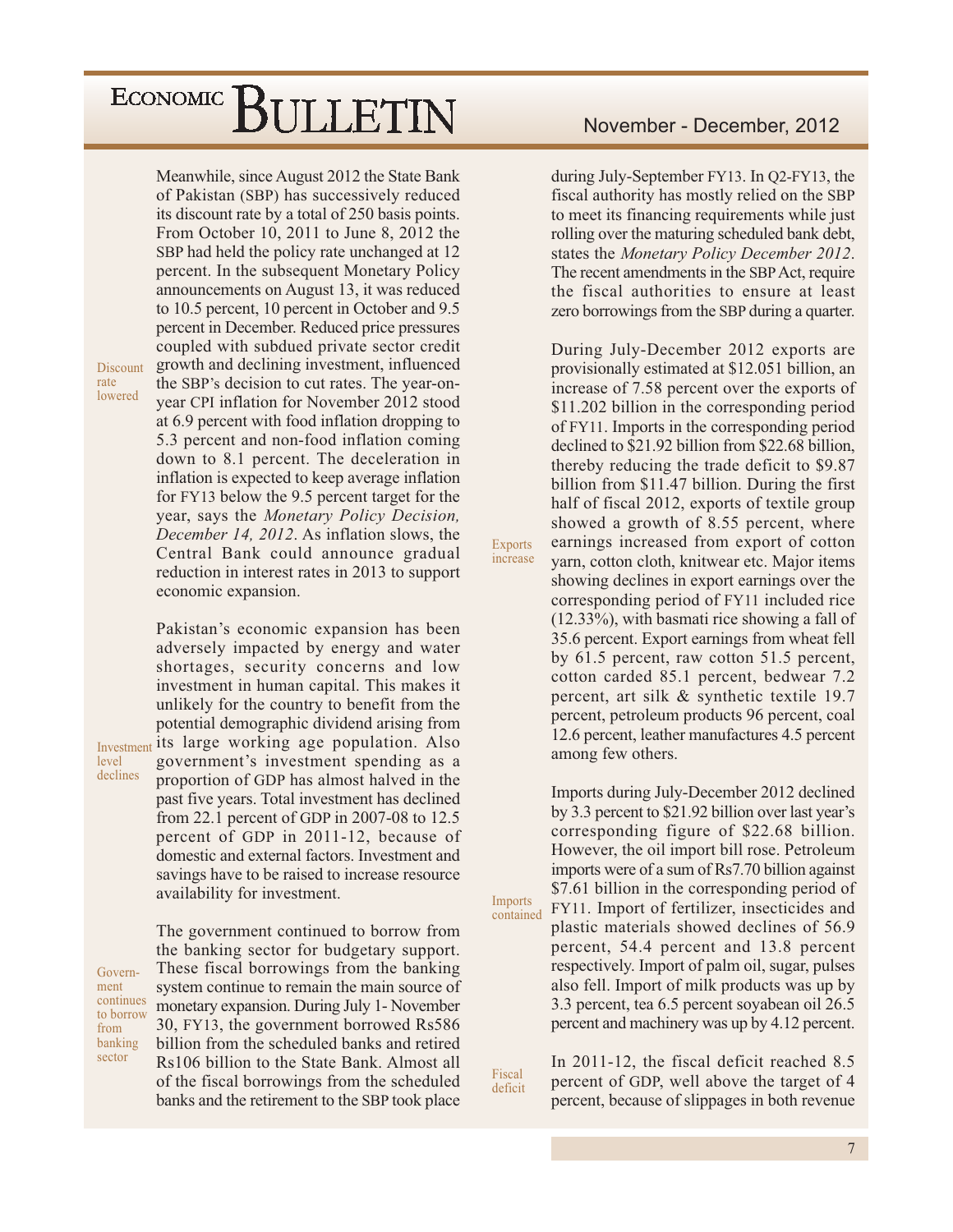Meanwhile, since August 2012 the State Bank of Pakistan (SBP) has successively reduced its discount rate by a total of 250 basis points. From October 10, 2011 to June 8, 2012 the SBP had held the policy rate unchanged at 12 percent. In the subsequent Monetary Policy announcements on August 13, it was reduced to 10.5 percent, 10 percent in October and 9.5 percent in December. Reduced price pressures coupled with subdued private sector credit growth and declining investment, influenced the SBP's decision to cut rates. The year-onyear CPI inflation for November 2012 stood at 6.9 percent with food inflation dropping to 5.3 percent and non-food inflation coming down to 8.1 percent. The deceleration in inflation is expected to keep average inflation for FY13 below the 9.5 percent target for the year, says the Monetary Policy Decision, December 14, 2012. As inflation slows, the Central Bank could announce gradual reduction in interest rates in 2013 to support economic expansion.

Pakistan's economic expansion has been adversely impacted by energy and water shortages, security concerns and low investment in human capital. This makes it unlikely for the country to benefit from the potential demographic dividend arising from Investment its large working age population. Also government's investment spending as a proportion of GDP has almost halved in the past five years. Total investment has declined from 22.1 percent of GDP in 2007-08 to 12.5 percent of GDP in 2011-12, because of domestic and external factors. Investment and savings have to be raised to increase resource availability for investment.

level declines

Discount

lowered

rate

Government continues to borrow from banking sector

The government continued to borrow from the banking sector for budgetary support. These fiscal borrowings from the banking system continue to remain the main source of monetary expansion. During July 1- November 30, FY13, the government borrowed Rs586 billion from the scheduled banks and retired Rs106 billion to the State Bank, Almost all of the fiscal borrowings from the scheduled banks and the retirement to the SBP took place

during July-September FY13. In Q2-FY13, the fiscal authority has mostly relied on the SBP to meet its financing requirements while just rolling over the maturing scheduled bank debt, states the Monetary Policy December 2012. The recent amendments in the SBP Act, require the fiscal authorities to ensure at least zero borrowings from the SBP during a quarter.

During July-December 2012 exports are provisionally estimated at \$12.051 billion, an increase of 7.58 percent over the exports of \$11.202 billion in the corresponding period of FY11. Imports in the corresponding period declined to \$21.92 billion from \$22.68 billion, thereby reducing the trade deficit to \$9.87 billion from \$11.47 billion. During the first half of fiscal 2012, exports of textile group showed a growth of 8.55 percent, where earnings increased from export of cotton yarn, cotton cloth, knitwear etc. Major items showing declines in export earnings over the corresponding period of FY11 included rice  $(12.33\%)$ , with basmati rice showing a fall of 35.6 percent. Export earnings from wheat fell by 61.5 percent, raw cotton 51.5 percent, cotton carded 85.1 percent, bedwear 7.2 percent, art silk & synthetic textile 19.7 percent, petroleum products 96 percent, coal 12.6 percent, leather manufactures 4.5 percent among few others.

**Exports** 

increase

Imports

Fiscal

deficit

contained

Imports during July-December 2012 declined by 3.3 percent to \$21.92 billion over last year's corresponding figure of \$22.68 billion. However, the oil import bill rose. Petroleum imports were of a sum of Rs7.70 billion against \$7.61 billion in the corresponding period of FY11. Import of fertilizer, insecticides and plastic materials showed declines of 56.9

percent, 54.4 percent and 13.8 percent respectively. Import of palm oil, sugar, pulses also fell. Import of milk products was up by 3.3 percent, tea 6.5 percent soyabean oil 26.5 percent and machinery was up by 4.12 percent.

In 2011-12, the fiscal deficit reached 8.5 percent of GDP, well above the target of 4 percent, because of slippages in both revenue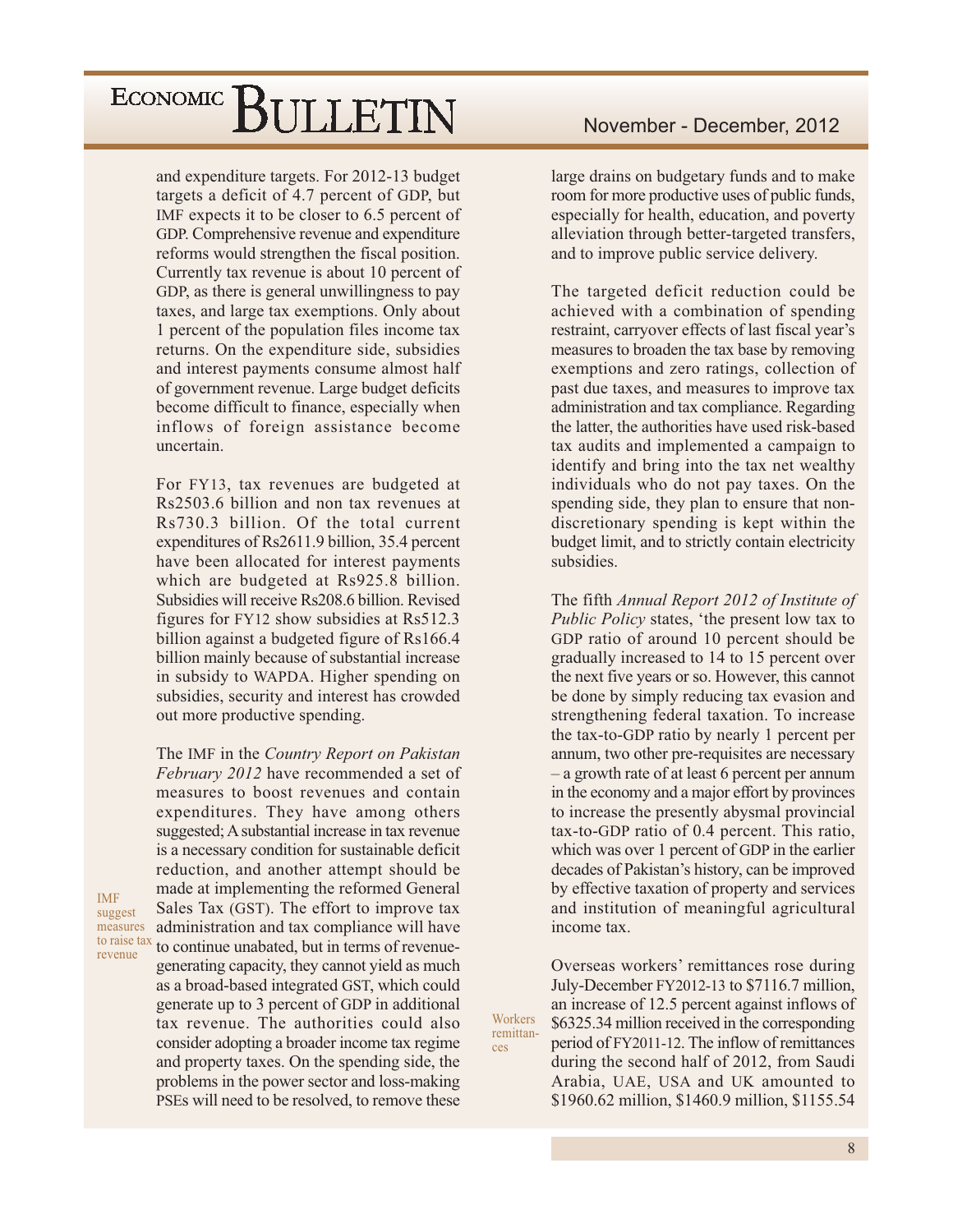and expenditure targets. For 2012-13 budget targets a deficit of 4.7 percent of GDP, but IMF expects it to be closer to 6.5 percent of GDP. Comprehensive revenue and expenditure reforms would strengthen the fiscal position. Currently tax revenue is about 10 percent of GDP, as there is general unwillingness to pay taxes, and large tax exemptions. Only about 1 percent of the population files income tax returns. On the expenditure side, subsidies and interest payments consume almost half of government revenue. Large budget deficits become difficult to finance, especially when inflows of foreign assistance become uncertain.

For FY13, tax revenues are budgeted at Rs2503.6 billion and non tax revenues at Rs730.3 billion. Of the total current expenditures of Rs2611.9 billion, 35.4 percent have been allocated for interest payments which are budgeted at Rs925.8 billion. Subsidies will receive Rs208.6 billion. Revised figures for FY12 show subsidies at Rs512.3 billion against a budgeted figure of Rs166.4 billion mainly because of substantial increase in subsidy to WAPDA. Higher spending on subsidies, security and interest has crowded out more productive spending.

The IMF in the Country Report on Pakistan February 2012 have recommended a set of measures to boost revenues and contain expenditures. They have among others suggested; A substantial increase in tax revenue is a necessary condition for sustainable deficit reduction, and another attempt should be made at implementing the reformed General Sales Tax (GST). The effort to improve tax administration and tax compliance will have to continue unabated, but in terms of revenuegenerating capacity, they cannot yield as much as a broad-based integrated GST, which could generate up to 3 percent of GDP in additional tax revenue. The authorities could also consider adopting a broader income tax regime and property taxes. On the spending side, the problems in the power sector and loss-making PSEs will need to be resolved, to remove these

large drains on budgetary funds and to make room for more productive uses of public funds, especially for health, education, and poverty alleviation through better-targeted transfers, and to improve public service delivery.

The targeted deficit reduction could be achieved with a combination of spending restraint, carryover effects of last fiscal year's measures to broaden the tax base by removing exemptions and zero ratings, collection of past due taxes, and measures to improve tax administration and tax compliance. Regarding the latter, the authorities have used risk-based tax audits and implemented a campaign to identify and bring into the tax net wealthy individuals who do not pay taxes. On the spending side, they plan to ensure that nondiscretionary spending is kept within the budget limit, and to strictly contain electricity subsidies.

The fifth Annual Report 2012 of Institute of Public Policy states, 'the present low tax to GDP ratio of around 10 percent should be gradually increased to 14 to 15 percent over the next five years or so. However, this cannot be done by simply reducing tax evasion and strengthening federal taxation. To increase the tax-to-GDP ratio by nearly 1 percent per annum, two other pre-requisites are necessary - a growth rate of at least 6 percent per annum in the economy and a major effort by provinces to increase the presently abysmal provincial tax-to-GDP ratio of 0.4 percent. This ratio, which was over 1 percent of GDP in the earlier decades of Pakistan's history, can be improved by effective taxation of property and services and institution of meaningful agricultural income tax.

Overseas workers' remittances rose during July-December FY2012-13 to \$7116.7 million, an increase of 12.5 percent against inflows of \$6325.34 million received in the corresponding period of FY2011-12. The inflow of remittances during the second half of 2012, from Saudi Arabia, UAE, USA and UK amounted to \$1960.62 million, \$1460.9 million, \$1155.54

Workers

remittan-

ces

**IMF** suggest measures to raise tax revenue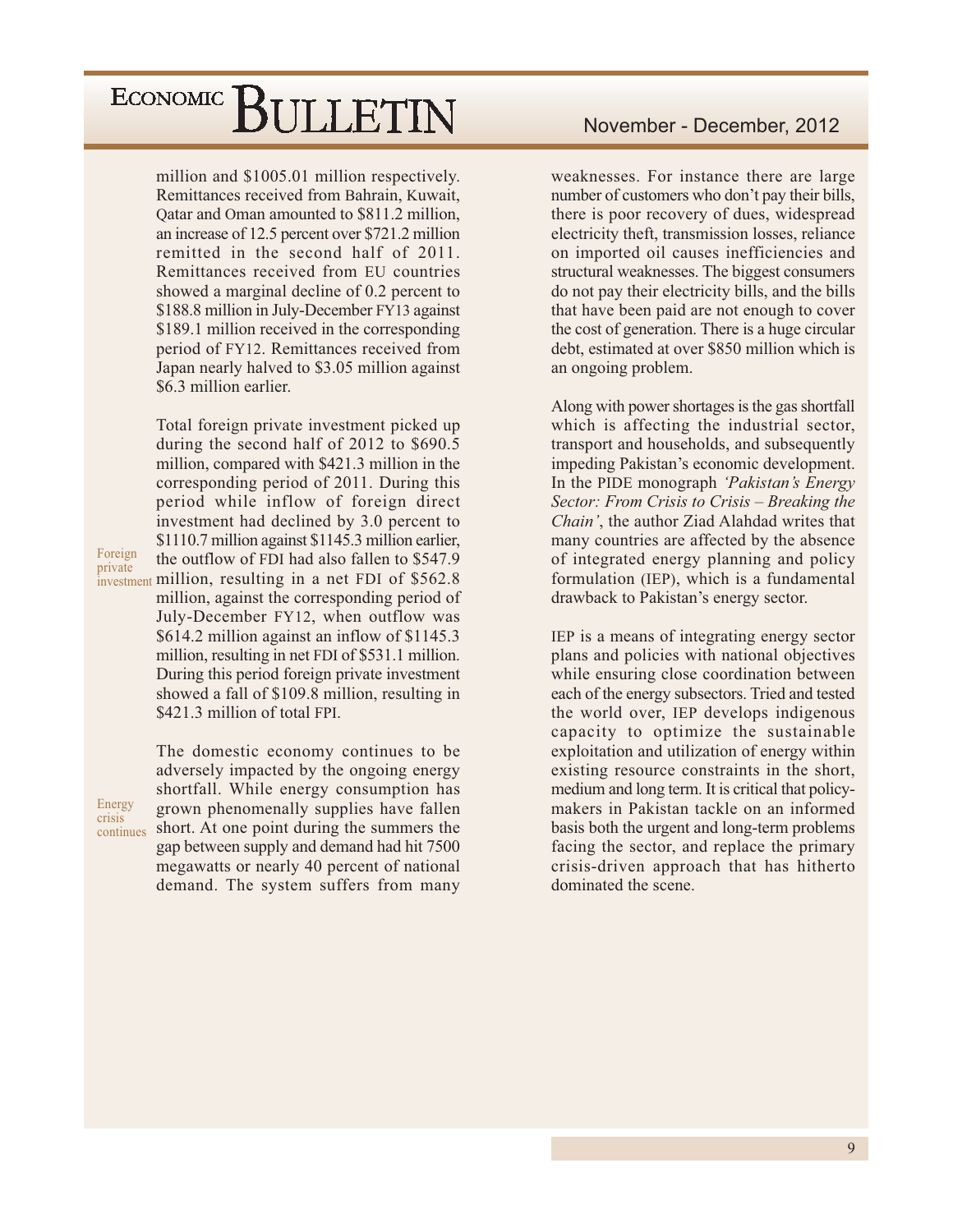million and \$1005.01 million respectively. Remittances received from Bahrain, Kuwait, Qatar and Oman amounted to \$811.2 million, an increase of 12.5 percent over \$721.2 million remitted in the second half of 2011. Remittances received from EU countries showed a marginal decline of 0.2 percent to \$188.8 million in July-December FY13 against \$189.1 million received in the corresponding period of FY12. Remittances received from Japan nearly halved to \$3.05 million against \$6.3 million earlier.

Total foreign private investment picked up during the second half of 2012 to \$690.5 million, compared with \$421.3 million in the corresponding period of 2011. During this period while inflow of foreign direct investment had declined by 3.0 percent to \$1110.7 million against \$1145.3 million earlier, the outflow of FDI had also fallen to \$547.9 investment million, resulting in a net FDI of \$562.8 million, against the corresponding period of July-December FY12, when outflow was \$614.2 million against an inflow of \$1145.3 million, resulting in net FDI of \$531.1 million. During this period foreign private investment showed a fall of \$109.8 million, resulting in \$421.3 million of total FPI.

Energy crisis

Foreign

private

The domestic economy continues to be adversely impacted by the ongoing energy shortfall. While energy consumption has grown phenomenally supplies have fallen continues short. At one point during the summers the gap between supply and demand had hit 7500 megawatts or nearly 40 percent of national demand. The system suffers from many

weaknesses. For instance there are large number of customers who don't pay their bills, there is poor recovery of dues, widespread electricity theft, transmission losses, reliance on imported oil causes inefficiencies and structural weaknesses. The biggest consumers do not pay their electricity bills, and the bills that have been paid are not enough to cover the cost of generation. There is a huge circular debt, estimated at over \$850 million which is an ongoing problem.

Along with power shortages is the gas shortfall which is affecting the industrial sector, transport and households, and subsequently impeding Pakistan's economic development. In the PIDE monograph 'Pakistan's Energy Sector: From Crisis to Crisis – Breaking the Chain', the author Ziad Alahdad writes that many countries are affected by the absence of integrated energy planning and policy formulation (IEP), which is a fundamental drawback to Pakistan's energy sector.

IEP is a means of integrating energy sector plans and policies with national objectives while ensuring close coordination between each of the energy subsectors. Tried and tested the world over, IEP develops indigenous capacity to optimize the sustainable exploitation and utilization of energy within existing resource constraints in the short, medium and long term. It is critical that policymakers in Pakistan tackle on an informed basis both the urgent and long-term problems facing the sector, and replace the primary crisis-driven approach that has hitherto dominated the scene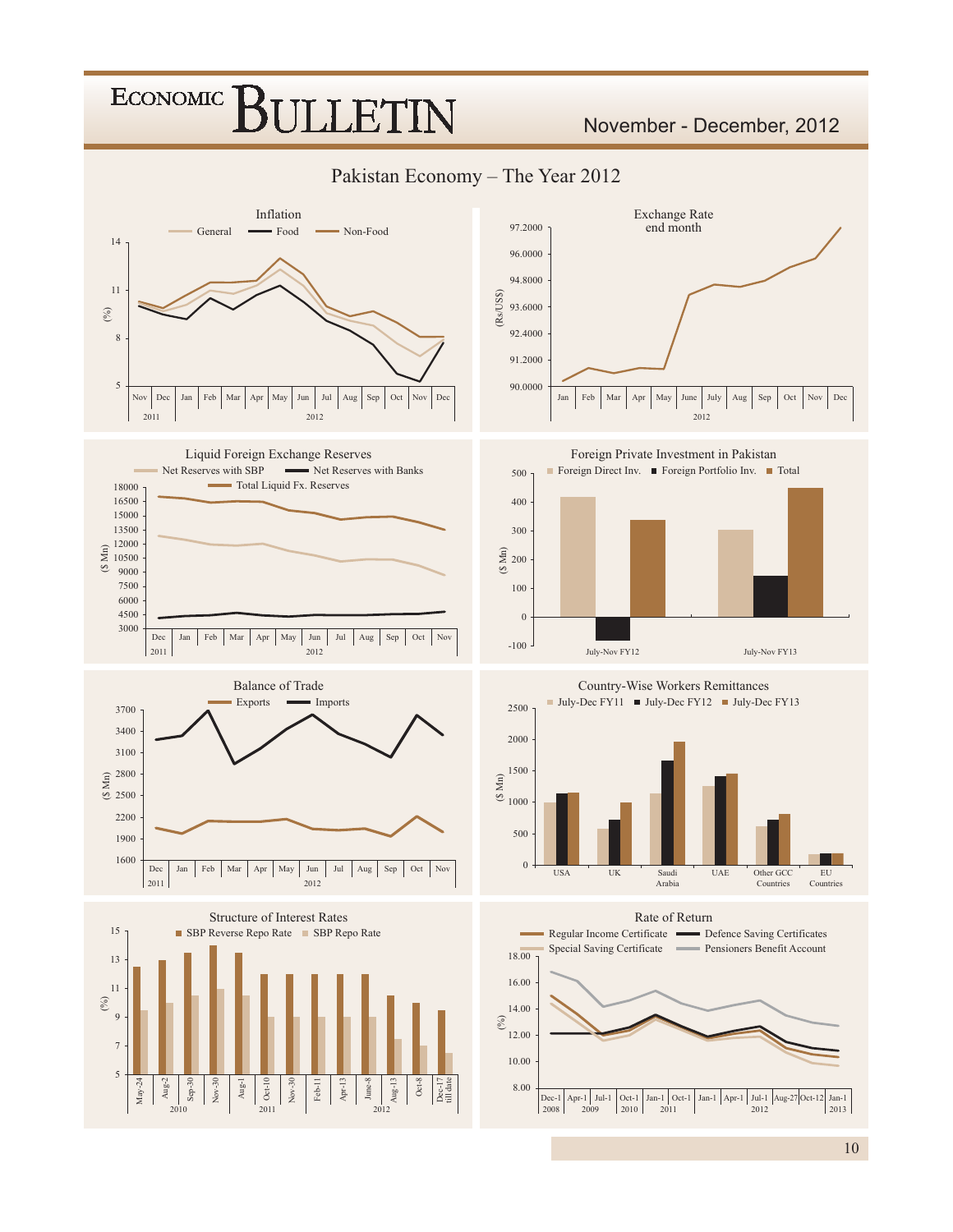### **ECONOMIC ILLET**

### November - December, 2012

Pakistan Economy - The Year 2012

















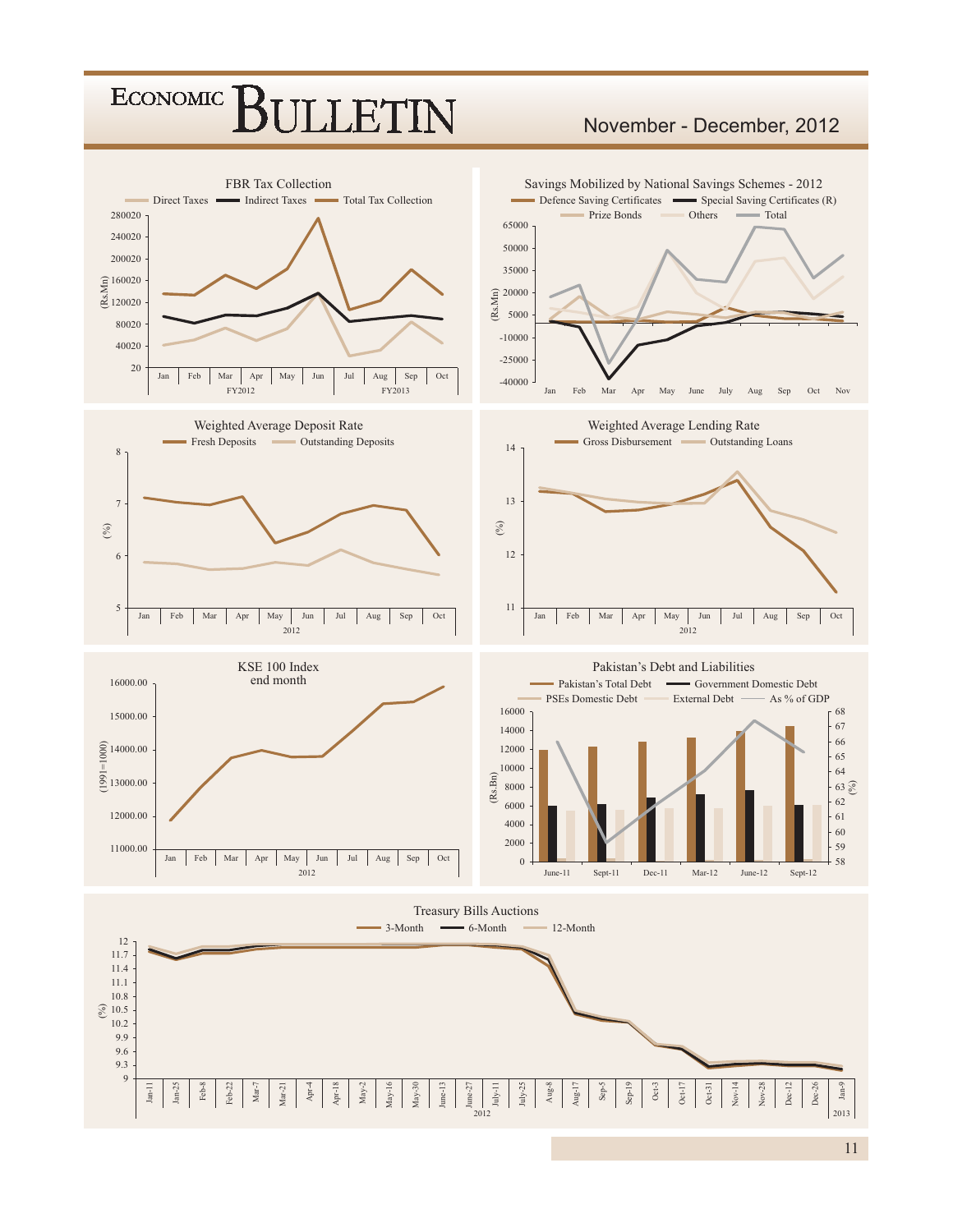### **ECONOMIC JETN**

### November - December, 2012



11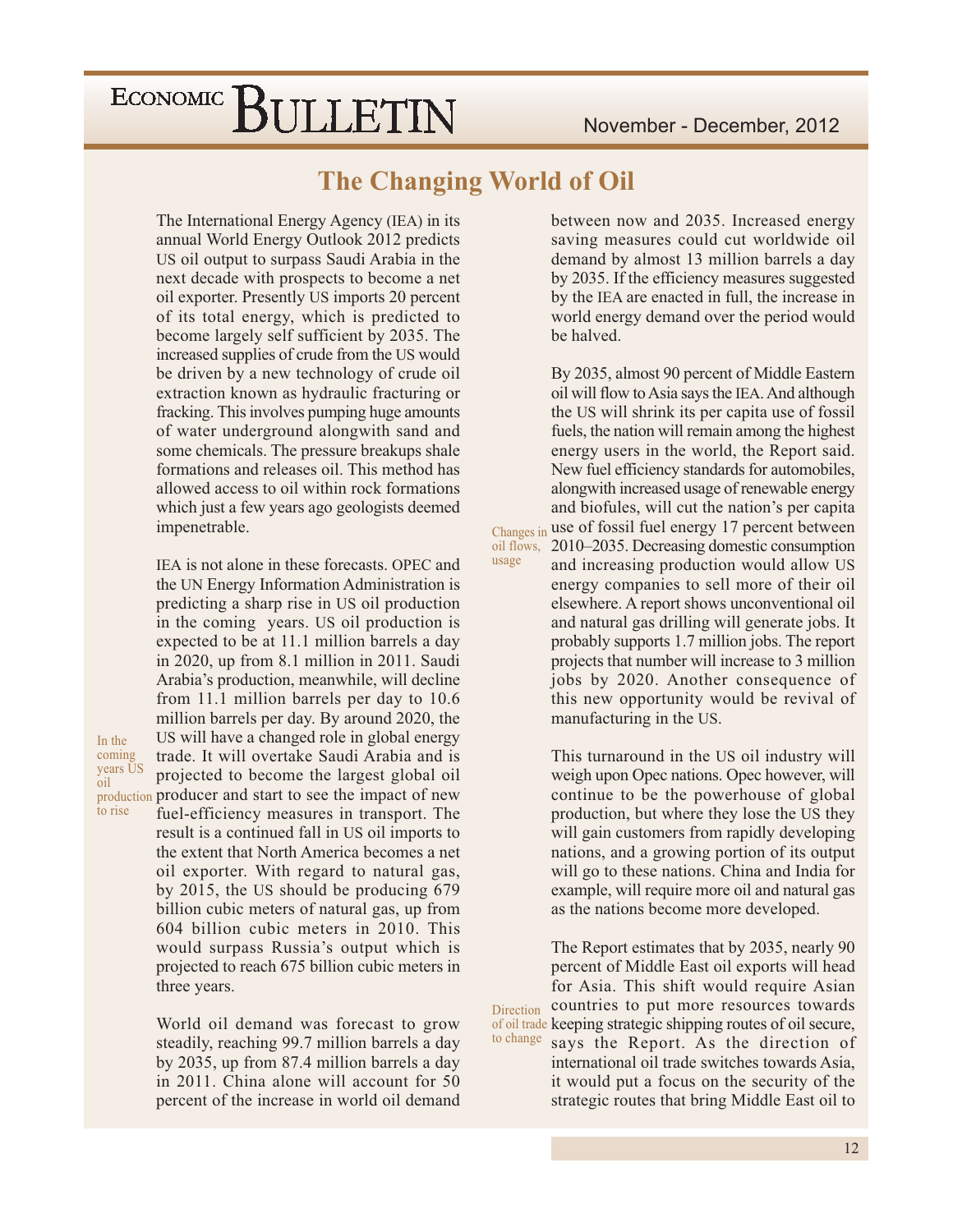### **The Changing World of Oil**

oil flows,

usage

The International Energy Agency (IEA) in its annual World Energy Outlook 2012 predicts US oil output to surpass Saudi Arabia in the next decade with prospects to become a net oil exporter. Presently US imports 20 percent of its total energy, which is predicted to become largely self sufficient by 2035. The increased supplies of crude from the US would be driven by a new technology of crude oil extraction known as hydraulic fracturing or fracking. This involves pumping huge amounts of water underground alongwith sand and some chemicals. The pressure breakups shale formations and releases oil. This method has allowed access to oil within rock formations which just a few years ago geologists deemed impenetrable.

IEA is not alone in these forecasts. OPEC and the UN Energy Information Administration is predicting a sharp rise in US oil production in the coming years. US oil production is expected to be at 11.1 million barrels a day in 2020, up from 8.1 million in 2011. Saudi Arabia's production, meanwhile, will decline from 11.1 million barrels per day to 10.6 million barrels per day. By around 2020, the US will have a changed role in global energy trade. It will overtake Saudi Arabia and is projected to become the largest global oil production producer and start to see the impact of new fuel-efficiency measures in transport. The result is a continued fall in US oil imports to the extent that North America becomes a net oil exporter. With regard to natural gas, by 2015, the US should be producing 679 billion cubic meters of natural gas, up from 604 billion cubic meters in 2010. This would surpass Russia's output which is projected to reach 675 billion cubic meters in

In the

oil

to rise

three years.

coming years US

> World oil demand was forecast to grow steadily, reaching 99.7 million barrels a day by 2035, up from 87.4 million barrels a day in 2011. China alone will account for 50 percent of the increase in world oil demand

between now and 2035. Increased energy saving measures could cut worldwide oil demand by almost 13 million barrels a day by 2035. If the efficiency measures suggested by the IEA are enacted in full, the increase in world energy demand over the period would be halved.

By 2035, almost 90 percent of Middle Eastern oil will flow to Asia says the IEA. And although the US will shrink its per capita use of fossil fuels, the nation will remain among the highest energy users in the world, the Report said. New fuel efficiency standards for automobiles, alongwith increased usage of renewable energy and biofules, will cut the nation's per capita Changes in use of fossil fuel energy 17 percent between 2010–2035. Decreasing domestic consumption and increasing production would allow US

energy companies to sell more of their oil elsewhere. A report shows unconventional oil and natural gas drilling will generate jobs. It probably supports 1.7 million jobs. The report projects that number will increase to 3 million jobs by 2020. Another consequence of this new opportunity would be revival of manufacturing in the US.

This turnaround in the US oil industry will weigh upon Opec nations. Opec however, will continue to be the powerhouse of global production, but where they lose the US they will gain customers from rapidly developing nations, and a growing portion of its output will go to these nations. China and India for example, will require more oil and natural gas as the nations become more developed.

The Report estimates that by 2035, nearly 90 percent of Middle East oil exports will head for Asia. This shift would require Asian countries to put more resources towards Direction of oil trade keeping strategic shipping routes of oil secure, to change says the Report. As the direction of

international oil trade switches towards Asia, it would put a focus on the security of the strategic routes that bring Middle East oil to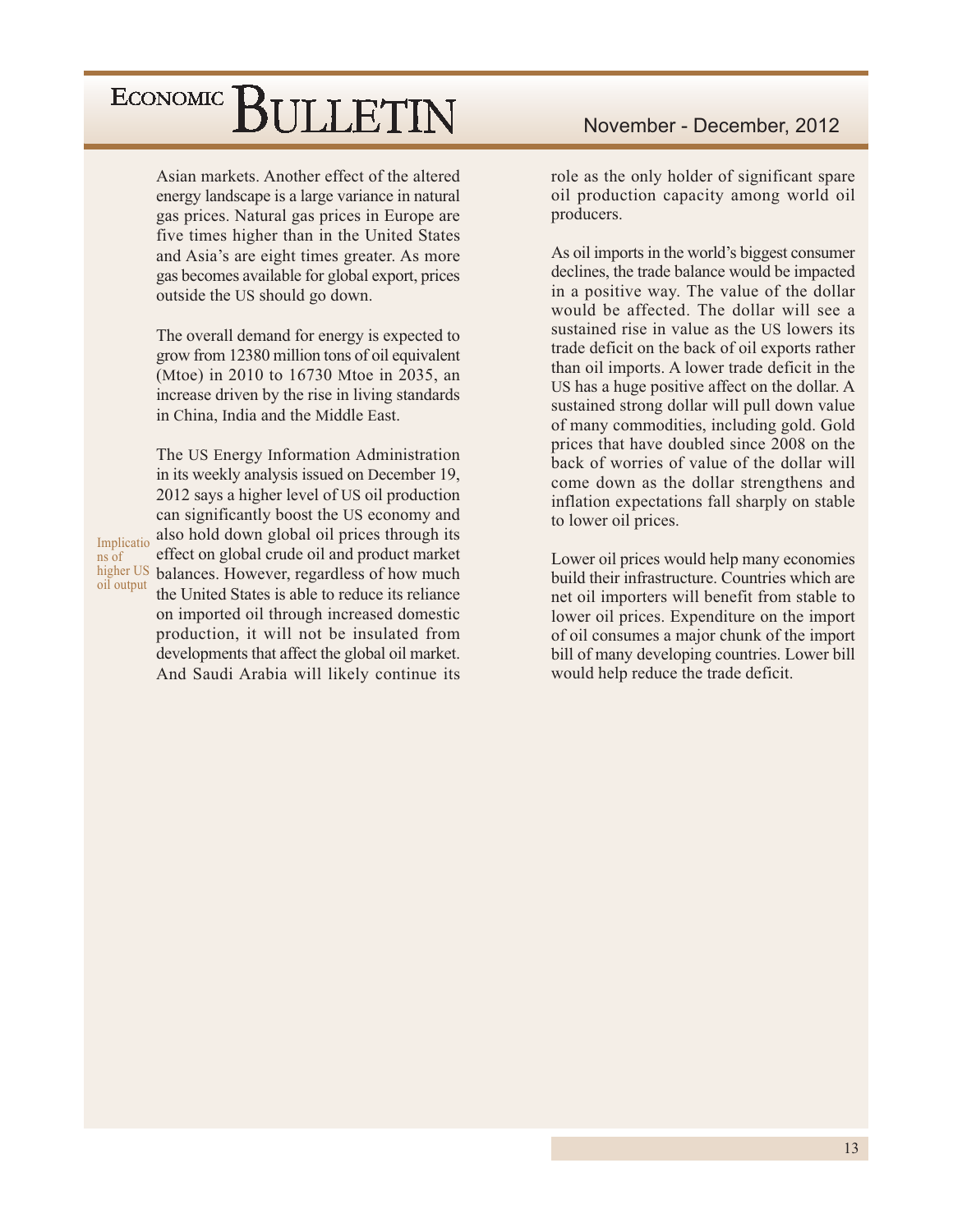Asian markets. Another effect of the altered energy landscape is a large variance in natural gas prices. Natural gas prices in Europe are five times higher than in the United States and Asia's are eight times greater. As more gas becomes available for global export, prices outside the US should go down.

The overall demand for energy is expected to grow from 12380 million tons of oil equivalent (Mtoe) in 2010 to 16730 Mtoe in 2035, an increase driven by the rise in living standards in China, India and the Middle East.

The US Energy Information Administration

Implicatio ns of oil output

in its weekly analysis issued on December 19, 2012 says a higher level of US oil production can significantly boost the US economy and also hold down global oil prices through its effect on global crude oil and product market higher US balances. However, regardless of how much the United States is able to reduce its reliance on imported oil through increased domestic production, it will not be insulated from developments that affect the global oil market. And Saudi Arabia will likely continue its role as the only holder of significant spare oil production capacity among world oil producers.

As oil imports in the world's biggest consumer declines, the trade balance would be impacted in a positive way. The value of the dollar would be affected. The dollar will see a sustained rise in value as the US lowers its trade deficit on the back of oil exports rather than oil imports. A lower trade deficit in the US has a huge positive affect on the dollar. A sustained strong dollar will pull down value of many commodities, including gold. Gold prices that have doubled since 2008 on the back of worries of value of the dollar will come down as the dollar strengthens and inflation expectations fall sharply on stable to lower oil prices.

Lower oil prices would help many economies build their infrastructure. Countries which are net oil importers will benefit from stable to lower oil prices. Expenditure on the import of oil consumes a major chunk of the import bill of many developing countries. Lower bill would help reduce the trade deficit.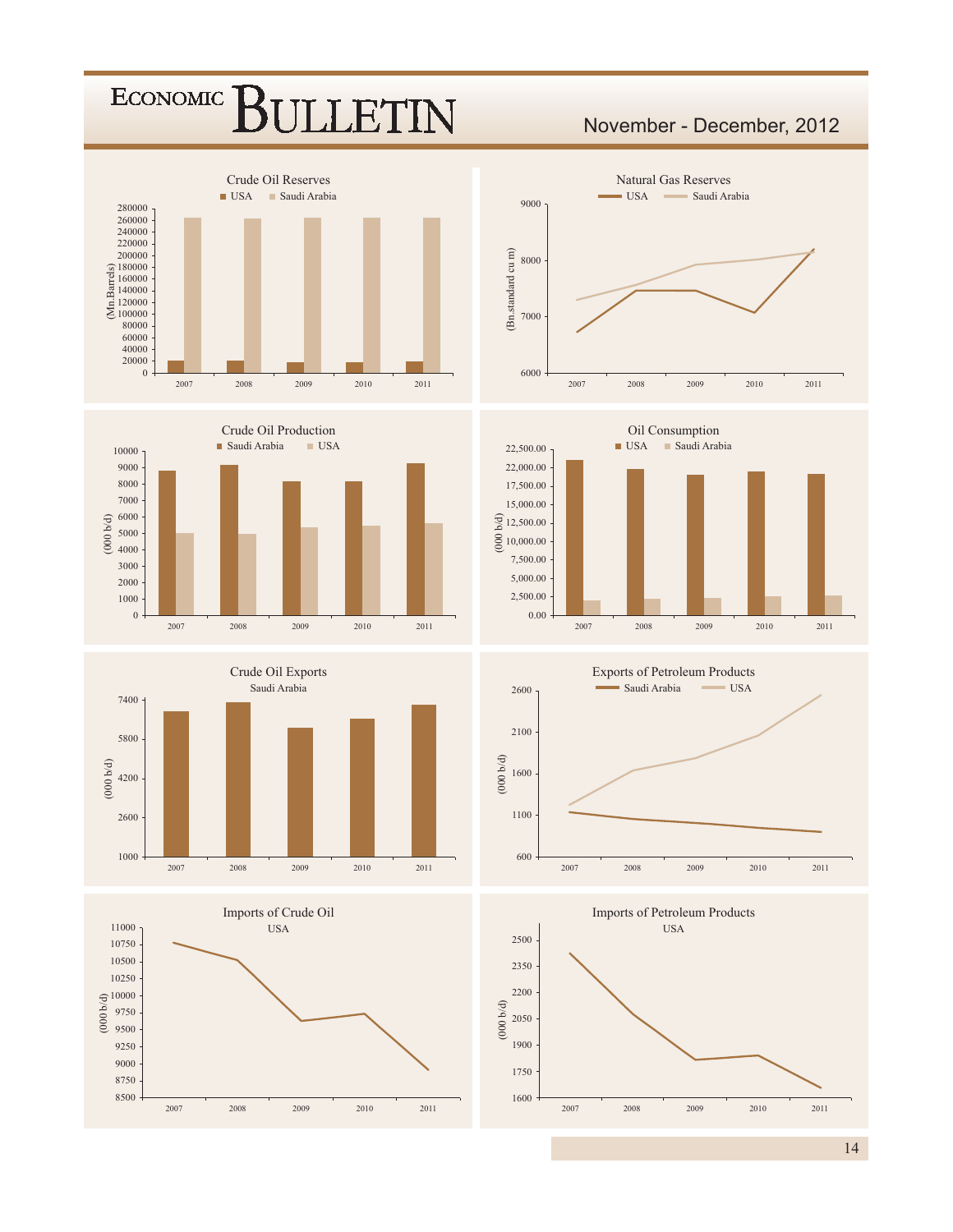#### Crude Oil Reserves ■ USA ■ Saudi Arabia  $260000 \\ 240000$  $\begin{array}{r}\n 200000 \\
\fbox{m} 180000 \\
\fbox{m} 140000 \\
\hbox{m} 140000 \\
\fbox{m} 120000 \\
\fbox{m} 100000 \\
\hbox{m} 00000\n \end{array}$  $\theta$







### November - December, 2012







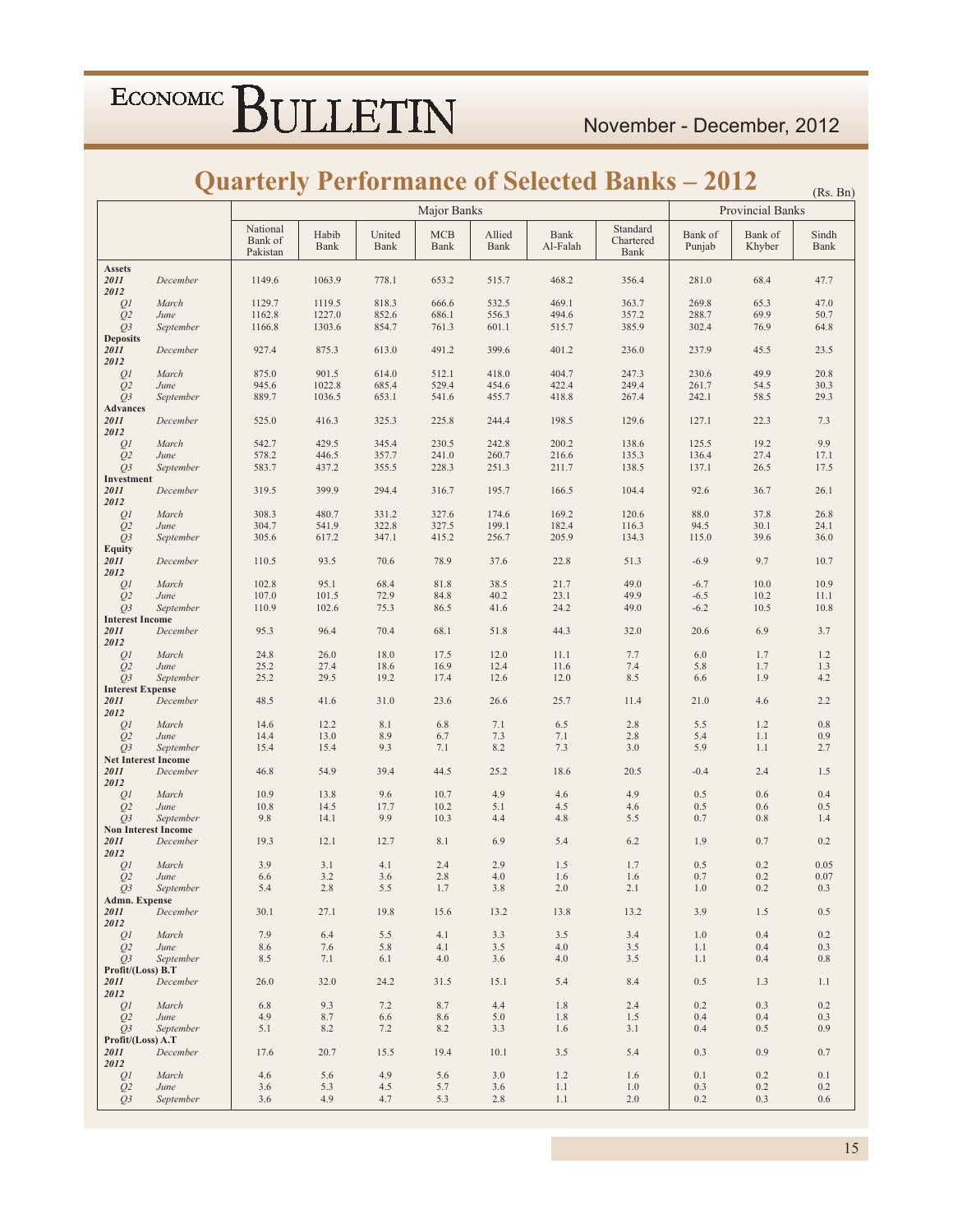### **Quarterly Performance of Selected Banks - 2012**

|                                  |                                         |                                 |               |                |                    |                |                  | JUATIETLY PETIOPINANCE OI SEIECIEU DANKS – 2012 |                   |                   | (Rs. Bn)      |
|----------------------------------|-----------------------------------------|---------------------------------|---------------|----------------|--------------------|----------------|------------------|-------------------------------------------------|-------------------|-------------------|---------------|
|                                  |                                         |                                 |               |                | Major Banks        |                |                  |                                                 |                   | Provincial Banks  |               |
|                                  |                                         | National<br>Bank of<br>Pakistan | Habib<br>Bank | United<br>Bank | <b>MCB</b><br>Bank | Allied<br>Bank | Bank<br>Al-Falah | Standard<br>Chartered<br>Bank                   | Bank of<br>Punjab | Bank of<br>Khyber | Sindh<br>Bank |
| <b>Assets</b><br>2011<br>2012    | December                                | 1149.6                          | 1063.9        | 778.1          | 653.2              | 515.7          | 468.2            | 356.4                                           | 281.0             | 68.4              | 47.7          |
| Q1                               | March                                   | 1129.7                          | 1119.5        | 818.3          | 666.6              | 532.5          | 469.1            | 363.7                                           | 269.8             | 65.3              | 47.0          |
| Q <sub>2</sub>                   | June                                    | 1162.8                          | 1227.0        | 852.6          | 686.1              | 556.3          | 494.6            | 357.2                                           | 288.7             | 69.9              | 50.7          |
| $Q_3$<br><b>Deposits</b>         | September                               | 1166.8                          | 1303.6        | 854.7          | 761.3              | 601.1          | 515.7            | 385.9                                           | 302.4             | 76.9              | 64.8          |
| 2011<br>2012                     | December                                | 927.4                           | 875.3         | 613.0          | 491.2              | 399.6          | 401.2            | 236.0                                           | 237.9             | 45.5              | 23.5          |
| Q <sub>1</sub>                   | March                                   | 875.0                           | 901.5         | 614.0          | 512.1              | 418.0          | 404.7            | 247.3                                           | 230.6             | 49.9              | 20.8          |
| Q <sub>2</sub>                   | June<br>September                       | 945.6<br>889.7                  | 1022.8        | 685.4          | 529.4              | 454.6<br>455.7 | 422.4<br>418.8   | 249.4                                           | 261.7             | 54.5              | 30.3          |
| $Q_3$<br><b>Advances</b>         |                                         |                                 | 1036.5        | 653.1          | 541.6              |                |                  | 267.4                                           | 242.1             | 58.5              | 29.3          |
| 2011<br>2012                     | December                                | 525.0                           | 416.3         | 325.3          | 225.8              | 244.4          | 198.5            | 129.6                                           | 127.1             | 22.3              | 7.3           |
| Q1                               | March                                   | 542.7                           | 429.5         | 345.4          | 230.5              | 242.8          | 200.2            | 138.6                                           | 125.5             | 19.2              | 9.9           |
| Q <sub>2</sub>                   | June                                    | 578.2                           | 446.5         | 357.7          | 241.0              | 260.7          | 216.6            | 135.3                                           | 136.4             | 27.4              | 17.1          |
| $Q_3$<br>Investment              | September                               | 583.7                           | 437.2         | 355.5          | 228.3              | 251.3          | 211.7            | 138.5                                           | 137.1             | 26.5              | 17.5          |
| 2011<br>2012                     | December                                | 319.5                           | 399.9         | 294.4          | 316.7              | 195.7          | 166.5            | 104.4                                           | 92.6              | 36.7              | 26.1          |
| Q <sub>1</sub>                   | March                                   | 308.3                           | 480.7         | 331.2          | 327.6              | 174.6          | 169.2            | 120.6                                           | 88.0              | 37.8              | 26.8          |
| Q <sub>2</sub>                   | June                                    | 304.7                           | 541.9         | 322.8          | 327.5              | 199.1          | 182.4            | 116.3                                           | 94.5              | 30.1              | 24.1          |
| $Q_3$<br><b>Equity</b>           | September                               | 305.6                           | 617.2         | 347.1          | 415.2              | 256.7          | 205.9            | 134.3                                           | 115.0             | 39.6              | 36.0          |
| 2011<br>2012                     | December                                | 110.5                           | 93.5          | 70.6           | 78.9               | 37.6           | 22.8             | 51.3                                            | $-6.9$            | 9.7               | 10.7          |
| Q1                               | March                                   | 102.8                           | 95.1          | 68.4           | 81.8               | 38.5           | 21.7             | 49.0                                            | $-6.7$            | 10.0              | 10.9          |
| Q <sub>2</sub>                   | June                                    | 107.0                           | 101.5         | 72.9           | 84.8               | 40.2           | 23.1             | 49.9                                            | $-6.5$            | 10.2              | 11.1          |
| $Q_3$<br><b>Interest Income</b>  | September                               | 110.9                           | 102.6         | 75.3           | 86.5               | 41.6           | 24.2             | 49.0                                            | $-6.2$            | 10.5              | 10.8          |
| 2011<br>2012                     | December                                | 95.3                            | 96.4          | 70.4           | 68.1               | 51.8           | 44.3             | 32.0                                            | 20.6              | 6.9               | 3.7           |
| Q1                               | March                                   | 24.8                            | 26.0          | 18.0           | 17.5               | 12.0           | 11.1             | 7.7                                             | 6.0               | 1.7               | 1.2           |
| Q <sub>2</sub><br>$Q_3$          | June                                    | 25.2<br>25.2                    | 27.4<br>29.5  | 18.6<br>19.2   | 16.9<br>17.4       | 12.4<br>12.6   | 11.6<br>12.0     | 7.4<br>8.5                                      | 5.8<br>6.6        | 1.7<br>1.9        | 1.3<br>4.2    |
| <b>Interest Expense</b>          | September                               |                                 |               |                |                    |                |                  |                                                 |                   |                   |               |
| 2011<br>2012                     | December                                | 48.5                            | 41.6          | 31.0           | 23.6               | 26.6           | 25.7             | 11.4                                            | 21.0              | 4.6               | 2.2           |
| Q1                               | March                                   | 14.6                            | 12.2          | 8.1            | 6.8                | 7.1            | 6.5              | 2.8                                             | 5.5               | 1.2               | 0.8           |
| Q <sub>2</sub><br>$Q_3$          | June<br>September                       | 14.4<br>15.4                    | 13.0<br>15.4  | 8.9<br>9.3     | 6.7<br>7.1         | 7.3<br>8.2     | 7.1<br>7.3       | 2.8<br>3.0                                      | 5.4<br>5.9        | 1.1<br>1.1        | 0.9<br>2.7    |
|                                  | <b>Net Interest Income</b>              |                                 |               |                |                    |                |                  |                                                 |                   |                   |               |
| 2011<br>2012                     | December                                | 46.8                            | 54.9          | 39.4           | 44.5               | 25.2           | 18.6             | 20.5                                            | $-0.4$            | 2.4               | 1.5           |
| QI                               | March                                   | 10.9                            | 13.8          | 9.6            | 10.7               | 4.9            | 4.6              | 4.9                                             | 0.5               | 0.6               | 0.4           |
| Q <sub>2</sub><br>O <sub>3</sub> | June                                    | 10.8<br>9.8                     | 14.5<br>14.1  | 17.7<br>9.9    | 10.2<br>10.3       | 5.1            | 4.5              | 4.6<br>5.5                                      | 0.5<br>0.7        | 0.6               | 0.5           |
|                                  | September<br><b>Non Interest Income</b> |                                 |               |                |                    | 4.4            | 4.8              |                                                 |                   | 0.8               | 1.4           |
| 2011<br>2012                     | December                                | 19.3                            | 12.1          | 12.7           | 8.1                | 6.9            | 5.4              | 6.2                                             | 1.9               | 0.7               | 0.2           |
| Q1                               | March                                   | 3.9                             | 3.1           | 4.1            | 2.4                | 2.9            | 1.5              | 1.7                                             | 0.5               | 0.2               | 0.05          |
| Q <sub>2</sub>                   | June<br>September                       | 6.6<br>5.4                      | 3.2<br>2.8    | 3.6<br>5.5     | 2.8<br>1.7         | 4.0<br>3.8     | 1.6<br>2.0       | 1.6<br>2.1                                      | 0.7<br>$1.0\,$    | 0.2<br>$0.2\,$    | 0.07<br>0.3   |
| Q3<br>Admn. Expense              |                                         |                                 |               |                |                    |                |                  |                                                 |                   |                   |               |
| 2011<br>2012                     | December                                | 30.1                            | 27.1          | 19.8           | 15.6               | 13.2           | 13.8             | 13.2                                            | 3.9               | 1.5               | 0.5           |
| QI                               | March                                   | 7.9                             | 6.4           | 5.5            | 4.1                | 3.3            | 3.5              | 3.4                                             | 1.0               | 0.4               | 0.2           |
| Q <sub>2</sub>                   | June<br>September                       | 8.6                             | 7.6<br>7.1    | 5.8            | 4.1                | 3.5            | $4.0\,$          | 3.5                                             | 1.1               | 0.4               | 0.3           |
| $Q_3$<br>Profit/(Loss) B.T       |                                         | 8.5                             |               | 6.1            | 4.0                | 3.6            | 4.0              | 3.5                                             | 1.1               | 0.4               | $0.8\,$       |
| 2011<br>2012                     | December                                | 26.0                            | 32.0          | 24.2           | 31.5               | 15.1           | 5.4              | 8.4                                             | 0.5               | 1.3               | 1.1           |
| Q <sub>I</sub>                   | March                                   | 6.8                             | 9.3           | 7.2            | 8.7                | 4.4            | 1.8              | 2.4                                             | 0.2               | 0.3               | 0.2           |
| Q <sub>2</sub>                   | June                                    | 4.9                             | 8.7           | 6.6            | 8.6                | 5.0            | 1.8              | 1.5                                             | 0.4               | 0.4               | 0.3           |
| $Q_3$<br>Profit/(Loss) A.T       | September                               | 5.1                             | 8.2           | 7.2            | 8.2                | 3.3            | 1.6              | 3.1                                             | 0.4               | 0.5               | 0.9           |
| 2011<br>2012                     | December                                | 17.6                            | 20.7          | 15.5           | 19.4               | 10.1           | 3.5              | 5.4                                             | 0.3               | 0.9               | 0.7           |
| QI                               | March                                   | 4.6                             | 5.6           | 4.9            | 5.6                | 3.0            | 1.2              | 1.6                                             | 0.1               | 0.2               | 0.1           |
| Q <sub>2</sub>                   | June                                    | 3.6                             | 5.3           | 4.5            | 5.7                | 3.6            | 1.1              | 1.0                                             | 0.3               | 0.2               | 0.2           |
| Q3                               | September                               | 3.6                             | 4.9           | 4.7            | 5.3                | 2.8            | 1.1              | 2.0                                             | 0.2               | 0.3               | 0.6           |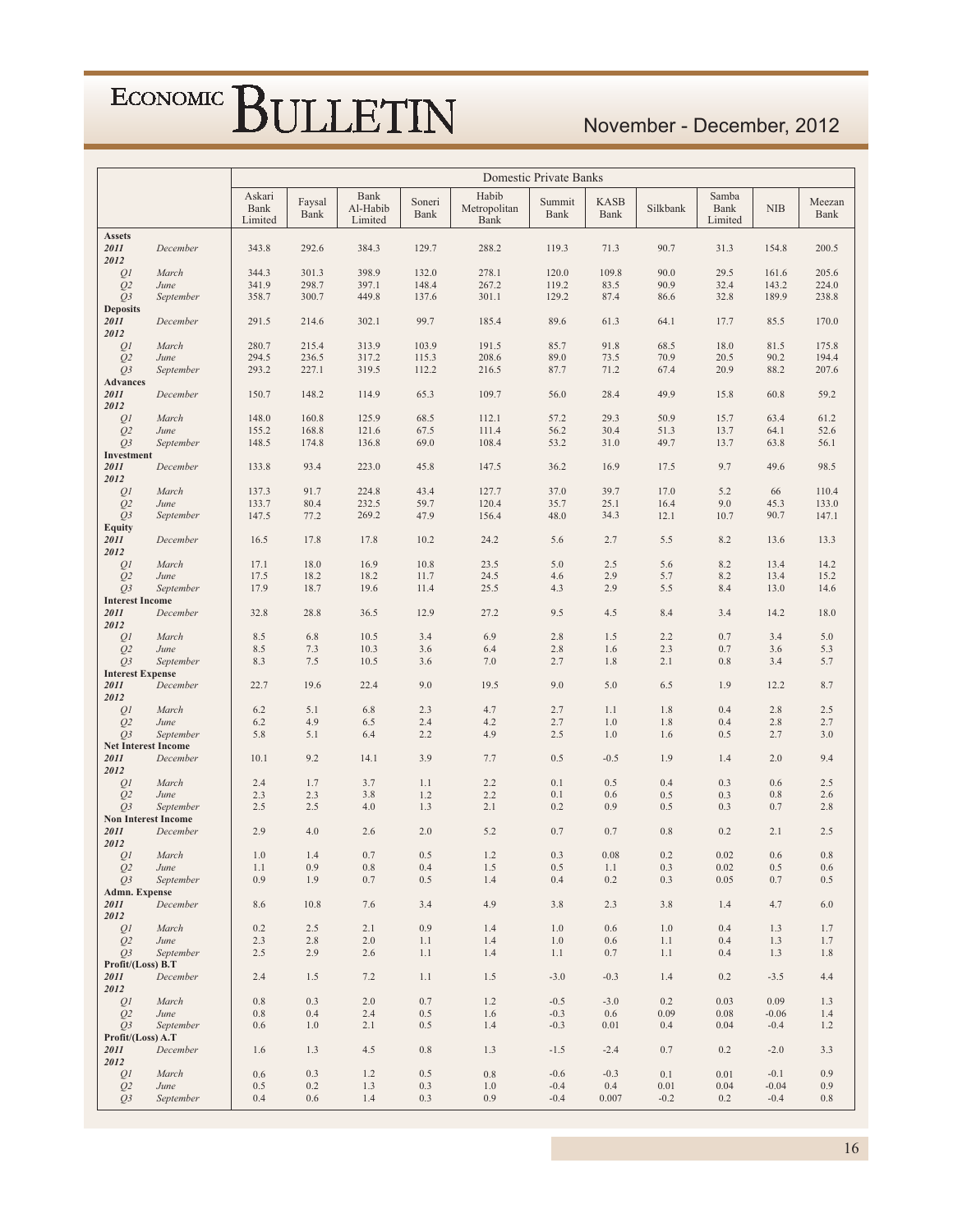### November - December, 2012

|                                  |                            | Domestic Private Banks    |                |                             |                |                               |                |                            |            |                                 |            |                |
|----------------------------------|----------------------------|---------------------------|----------------|-----------------------------|----------------|-------------------------------|----------------|----------------------------|------------|---------------------------------|------------|----------------|
|                                  |                            | Askari<br>Bank<br>Limited | Faysal<br>Bank | Bank<br>Al-Habib<br>Limited | Soneri<br>Bank | Habib<br>Metropolitan<br>Bank | Summit<br>Bank | <b>KASB</b><br><b>Bank</b> | Silkbank   | Samba<br><b>Bank</b><br>Limited | <b>NIB</b> | Meezan<br>Bank |
| <b>Assets</b>                    |                            |                           |                |                             |                |                               |                |                            |            |                                 |            |                |
| 2011                             | December                   | 343.8                     | 292.6          | 384.3                       | 129.7          | 288.2                         | 119.3          | 71.3                       | 90.7       | 31.3                            | 154.8      | 200.5          |
| 2012<br>Q1                       | March                      | 344.3                     | 301.3          | 398.9                       | 132.0          | 278.1                         | 120.0          | 109.8                      | 90.0       | 29.5                            | 161.6      | 205.6          |
| Q <sub>2</sub>                   | June                       | 341.9                     | 298.7          | 397.1                       | 148.4          | 267.2                         | 119.2          | 83.5                       | 90.9       | 32.4                            | 143.2      | 224.0          |
| $Q_3$                            | September                  | 358.7                     | 300.7          | 449.8                       | 137.6          | 301.1                         | 129.2          | 87.4                       | 86.6       | 32.8                            | 189.9      | 238.8          |
| <b>Deposits</b>                  |                            |                           |                |                             |                |                               |                |                            |            |                                 |            |                |
| 2011                             | December                   | 291.5                     | 214.6          | 302.1                       | 99.7           | 185.4                         | 89.6           | 61.3                       | 64.1       | 17.7                            | 85.5       | 170.0          |
| 2012<br>QI                       | March                      | 280.7                     | 215.4          | 313.9                       | 103.9          | 191.5                         | 85.7           | 91.8                       | 68.5       | 18.0                            | 81.5       | 175.8          |
| Q <sub>2</sub>                   | June                       | 294.5                     | 236.5          | 317.2                       | 115.3          | 208.6                         | 89.0           | 73.5                       | 70.9       | 20.5                            | 90.2       | 194.4          |
| Q <sub>3</sub>                   | September                  | 293.2                     | 227.1          | 319.5                       | 112.2          | 216.5                         | 87.7           | 71.2                       | 67.4       | 20.9                            | 88.2       | 207.6          |
| <b>Advances</b>                  |                            |                           |                |                             |                |                               |                |                            |            |                                 |            |                |
| 2011<br>2012                     | December                   | 150.7                     | 148.2          | 114.9                       | 65.3           | 109.7                         | 56.0           | 28.4                       | 49.9       | 15.8                            | 60.8       | 59.2           |
| Q <sub>1</sub>                   | March                      | 148.0                     | 160.8          | 125.9                       | 68.5           | 112.1                         | 57.2           | 29.3                       | 50.9       | 15.7                            | 63.4       | 61.2           |
| Q <sub>2</sub>                   | June                       | 155.2                     | 168.8          | 121.6                       | 67.5           | 111.4                         | 56.2           | 30.4                       | 51.3       | 13.7                            | 64.1       | 52.6           |
| $Q_3$                            | September                  | 148.5                     | 174.8          | 136.8                       | 69.0           | 108.4                         | 53.2           | 31.0                       | 49.7       | 13.7                            | 63.8       | 56.1           |
| Investment                       |                            |                           |                |                             |                |                               |                |                            |            |                                 |            |                |
| 2011<br>2012                     | December                   | 133.8                     | 93.4           | 223.0                       | 45.8           | 147.5                         | 36.2           | 16.9                       | 17.5       | 9.7                             | 49.6       | 98.5           |
| QI                               | March                      | 137.3                     | 91.7           | 224.8                       | 43.4           | 127.7                         | 37.0           | 39.7                       | 17.0       | 5.2                             | 66         | 110.4          |
| Q <sub>2</sub>                   | June                       | 133.7                     | 80.4           | 232.5                       | 59.7           | 120.4                         | 35.7           | 25.1                       | 16.4       | 9.0                             | 45.3       | 133.0          |
| Q3                               | September                  | 147.5                     | 77.2           | 269.2                       | 47.9           | 156.4                         | 48.0           | 34.3                       | 12.1       | 10.7                            | 90.7       | 147.1          |
| <b>Equity</b><br>2011            | December                   | 16.5                      | 17.8           | 17.8                        | 10.2           | 24.2                          | 5.6            | 2.7                        | 5.5        | 8.2                             | 13.6       | 13.3           |
| 2012                             |                            |                           |                |                             |                |                               |                |                            |            |                                 |            |                |
| Q1                               | March                      | 17.1                      | 18.0           | 16.9                        | 10.8           | 23.5                          | 5.0            | 2.5                        | 5.6        | 8.2                             | 13.4       | 14.2           |
| Q <sub>2</sub>                   | June                       | 17.5                      | 18.2           | 18.2                        | 11.7           | 24.5                          | 4.6            | 2.9                        | 5.7        | 8.2                             | 13.4       | 15.2           |
| Q3                               | September                  | 17.9                      | 18.7           | 19.6                        | 11.4           | 25.5                          | 4.3            | 2.9                        | 5.5        | 8.4                             | 13.0       | 14.6           |
| <b>Interest Income</b><br>2011   | December                   | 32.8                      | 28.8           | 36.5                        | 12.9           | 27.2                          | 9.5            | 4.5                        | 8.4        | 3.4                             | 14.2       | 18.0           |
| 2012                             |                            |                           |                |                             |                |                               |                |                            |            |                                 |            |                |
| Q1                               | March                      | 8.5                       | 6.8            | 10.5                        | 3.4            | 6.9                           | 2.8            | 1.5                        | 2.2        | 0.7                             | 3.4        | 5.0            |
| Q <sub>2</sub>                   | June                       | 8.5                       | 7.3            | 10.3                        | 3.6            | 6.4                           | 2.8            | 1.6                        | 2.3        | 0.7                             | 3.6        | 5.3            |
| $Q_3$<br><b>Interest Expense</b> | September                  | 8.3                       | 7.5            | 10.5                        | 3.6            | 7.0                           | 2.7            | 1.8                        | 2.1        | 0.8                             | 3.4        | 5.7            |
| 2011                             | December                   | 22.7                      | 19.6           | 22.4                        | 9.0            | 19.5                          | 9.0            | 5.0                        | 6.5        | 1.9                             | 12.2       | 8.7            |
| 2012                             |                            |                           |                |                             |                |                               |                |                            |            |                                 |            |                |
| QI                               | March                      | 6.2                       | 5.1            | 6.8                         | 2.3            | 4.7                           | 2.7            | 1.1                        | 1.8        | 0.4                             | 2.8        | 2.5            |
| Q <sub>2</sub><br>Q <sub>3</sub> | June<br>September          | 6.2<br>5.8                | 4.9<br>5.1     | 6.5<br>6.4                  | 2.4<br>2.2     | 4.2<br>4.9                    | 2.7<br>2.5     | 1.0<br>1.0                 | 1.8<br>1.6 | 0.4<br>0.5                      | 2.8<br>2.7 | 2.7<br>3.0     |
| <b>Net Interest Income</b>       |                            |                           |                |                             |                |                               |                |                            |            |                                 |            |                |
| 2011                             | December                   | 10.1                      | 9.2            | 14.1                        | 3.9            | 7.7                           | 0.5            | $-0.5$                     | 1.9        | 1.4                             | 2.0        | 9.4            |
| 2012                             |                            |                           |                |                             |                |                               |                |                            |            |                                 |            |                |
| Q <sub>1</sub><br>Q <sub>2</sub> | March<br>June              | 2.4<br>2.3                | 1.7<br>2.3     | 3.7<br>3.8                  | 1.1<br>1.2     | 2.2<br>2.2                    | 0.1<br>0.1     | 0.5<br>0.6                 | 0.4<br>0.5 | 0.3<br>0.3                      | 0.6<br>0.8 | 2.5<br>2.6     |
| $Q_3$                            | September                  | 2.5                       | 2.5            | 4.0                         | 1.3            | 2.1                           | 0.2            | 0.9                        | 0.5        | 0.3                             | 0.7        | 2.8            |
|                                  | <b>Non Interest Income</b> |                           |                |                             |                |                               |                |                            |            |                                 |            |                |
| 2011                             | December                   | 2.9                       | 4.0            | 2.6                         | 2.0            | 5.2                           | 0.7            | 0.7                        | 0.8        | 0.2                             | 2.1        | 2.5            |
| 2012<br>Q <sub>1</sub>           | March                      | 1.0                       | 1.4            | 0.7                         | 0.5            | 1.2                           | 0.3            | 0.08                       | 0.2        | 0.02                            | 0.6        | 0.8            |
| Q <sub>2</sub>                   | June                       | 1.1                       | 0.9            | 0.8                         | 0.4            | 1.5                           | 0.5            | 1.1                        | 0.3        | 0.02                            | 0.5        | 0.6            |
| Q <sub>3</sub>                   | September                  | 0.9                       | 1.9            | 0.7                         | 0.5            | 1.4                           | 0.4            | 0.2                        | 0.3        | 0.05                            | 0.7        | 0.5            |
| Admn. Expense                    |                            |                           |                |                             |                |                               |                |                            |            |                                 |            |                |
| 2011<br>2012                     | December                   | 8.6                       | $10.8\,$       | 7.6                         | 3.4            | 4.9                           | 3.8            | 2.3                        | $3.8\,$    | 1.4                             | 4.7        | $6.0\,$        |
| QI                               | March                      | 0.2                       | 2.5            | 2.1                         | 0.9            | 1.4                           | 1.0            | 0.6                        | 1.0        | 0.4                             | 1.3        | 1.7            |
| Q <sub>2</sub>                   | June                       | 2.3                       | 2.8            | 2.0                         | 1.1            | 1.4                           | 1.0            | 0.6                        | 1.1        | 0.4                             | 1.3        | 1.7            |
| $Q_3$                            | September                  | 2.5                       | 2.9            | 2.6                         | 1.1            | 1.4                           | 1.1            | 0.7                        | 1.1        | 0.4                             | 1.3        | 1.8            |
| Profit/(Loss) B.T<br>2011        | December                   | 2.4                       | 1.5            | 7.2                         | 1.1            | 1.5                           | $-3.0$         | $-0.3$                     | 1.4        | 0.2                             | $-3.5$     | 4.4            |
| 2012                             |                            |                           |                |                             |                |                               |                |                            |            |                                 |            |                |
| QI                               | March                      | 0.8                       | 0.3            | 2.0                         | 0.7            | 1.2                           | $-0.5$         | $-3.0$                     | 0.2        | 0.03                            | 0.09       | 1.3            |
| Q <sub>2</sub>                   | June                       | 0.8                       | 0.4            | 2.4                         | 0.5            | 1.6                           | $-0.3$         | 0.6                        | 0.09       | 0.08                            | $-0.06$    | 1.4            |
| $Q_3$<br>Profit/(Loss) A.T       | September                  | 0.6                       | 1.0            | 2.1                         | 0.5            | 1.4                           | $-0.3$         | 0.01                       | 0.4        | 0.04                            | $-0.4$     | 1.2            |
| 2011                             | December                   | 1.6                       | 1.3            | 4.5                         | 0.8            | 1.3                           | $-1.5$         | $-2.4$                     | 0.7        | 0.2                             | $-2.0$     | 3.3            |
| 2012                             |                            |                           |                |                             |                |                               |                |                            |            |                                 |            |                |
| QI                               | March                      | 0.6                       | 0.3            | 1.2                         | 0.5            | 0.8                           | $-0.6$         | $-0.3$                     | 0.1        | 0.01                            | $-0.1$     | 0.9            |
| Q <sub>2</sub>                   | June                       | 0.5                       | 0.2            | 1.3                         | 0.3            | 1.0                           | $-0.4$         | 0.4                        | 0.01       | 0.04                            | $-0.04$    | 0.9            |
| $Q_3$                            | September                  | 0.4                       | 0.6            | 1.4                         | 0.3            | 0.9                           | $-0.4$         | 0.007                      | $-0.2$     | 0.2                             | $-0.4$     | 0.8            |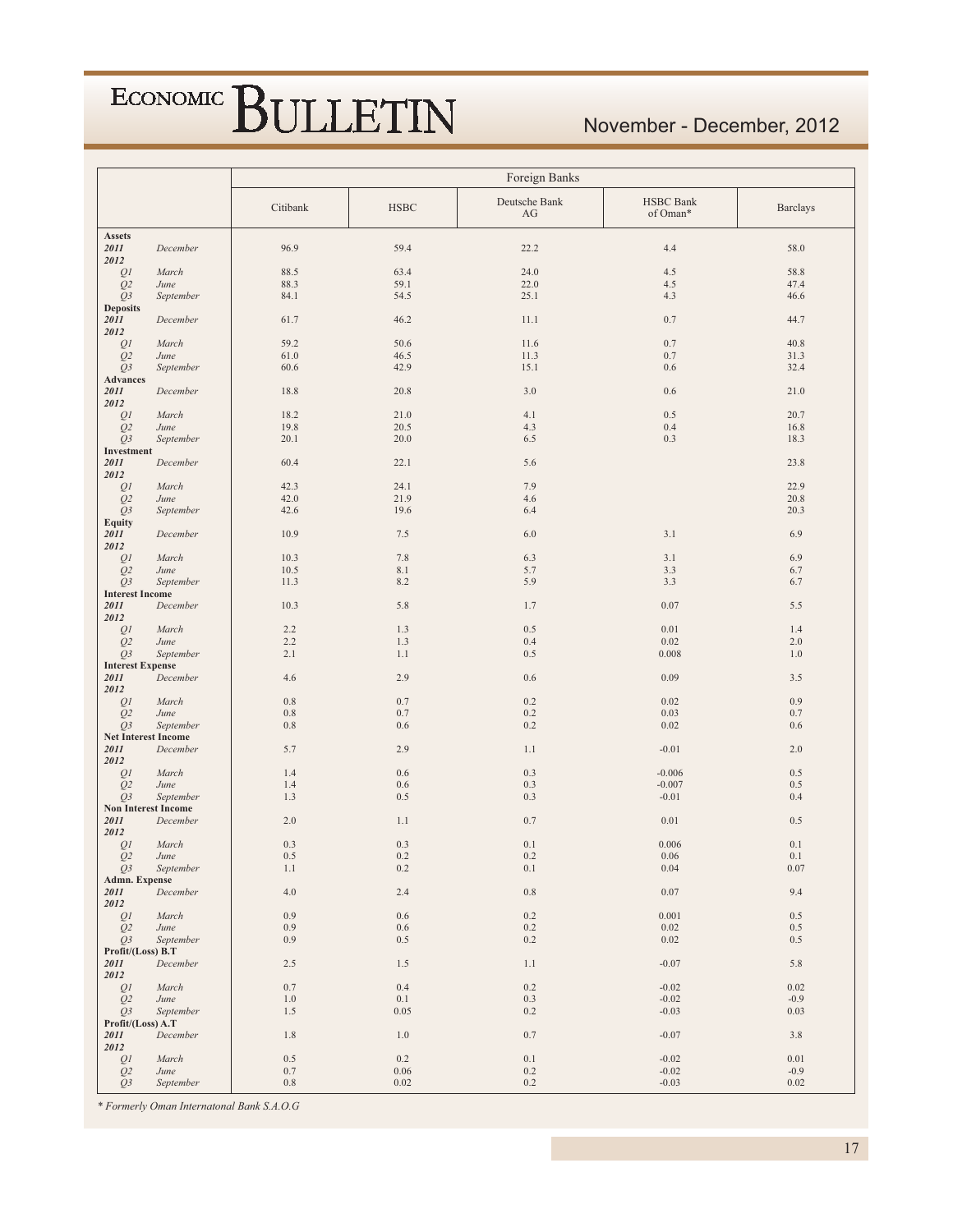### November - December, 2012

|                                    |                   | Foreign Banks  |             |                     |                              |                 |  |  |  |
|------------------------------------|-------------------|----------------|-------------|---------------------|------------------------------|-----------------|--|--|--|
|                                    |                   | Citibank       | <b>HSBC</b> | Deutsche Bank<br>AG | <b>HSBC</b> Bank<br>of Oman* | <b>Barclays</b> |  |  |  |
| Assets                             |                   |                |             |                     |                              |                 |  |  |  |
| 2011<br>2012                       | December          | 96.9           | 59.4        | 22.2                | 4.4                          | 58.0            |  |  |  |
| Q1                                 | March             | 88.5           | 63.4        | 24.0                | 4.5                          | 58.8            |  |  |  |
| Q <sub>2</sub>                     | June              | 88.3           | 59.1        | 22.0                | 4.5                          | 47.4            |  |  |  |
| Q <sub>3</sub>                     | September         | 84.1           | 54.5        | 25.1                | 4.3                          | 46.6            |  |  |  |
| <b>Deposits</b>                    |                   |                |             |                     |                              |                 |  |  |  |
| 2011<br>2012                       | December          | 61.7           | 46.2        | 11.1                | 0.7                          | 44.7            |  |  |  |
| $\mathcal{Q}1$                     | March             | 59.2           | 50.6        | 11.6                | 0.7                          | 40.8            |  |  |  |
| Q2                                 | June              | 61.0           | 46.5        | 11.3                | 0.7                          | 31.3            |  |  |  |
| Q3                                 | September         | 60.6           | 42.9        | 15.1                | 0.6                          | 32.4            |  |  |  |
| Advances                           |                   |                |             |                     |                              |                 |  |  |  |
| 2011<br>2012                       | December          | 18.8           | 20.8        | 3.0                 | 0.6                          | 21.0            |  |  |  |
| Q1                                 | March             | 18.2           | 21.0        | 4.1                 | 0.5                          | 20.7            |  |  |  |
| Q <sub>2</sub>                     | June              | 19.8           | 20.5        | 4.3                 | 0.4                          | 16.8            |  |  |  |
| Q3<br>Investment                   | September         | 20.1           | 20.0        | 6.5                 | 0.3                          | 18.3            |  |  |  |
| 2011                               | December          | 60.4           | 22.1        | 5.6                 |                              | 23.8            |  |  |  |
| 2012                               |                   |                |             |                     |                              |                 |  |  |  |
| $\mathcal{Q}1$                     | March             | 42.3           | 24.1        | 7.9                 |                              | 22.9            |  |  |  |
| Q <sub>2</sub>                     | June              | 42.0           | 21.9        | 4.6                 |                              | 20.8            |  |  |  |
| Q3                                 | September         | 42.6           | 19.6        | 6.4                 |                              | 20.3            |  |  |  |
| <b>Equity</b>                      |                   |                |             |                     |                              |                 |  |  |  |
| 2011<br>2012                       | December          | 10.9           | 7.5         | 6.0                 | 3.1                          | 6.9             |  |  |  |
| QI                                 | March             | 10.3           | 7.8         | 6.3                 | 3.1                          | 6.9             |  |  |  |
| Q2                                 | June              | 10.5           | 8.1         | 5.7                 | 3.3                          | 6.7             |  |  |  |
| Q3                                 | September         | 11.3           | 8.2         | 5.9                 | 3.3                          | 6.7             |  |  |  |
| <b>Interest Income</b>             |                   |                |             |                     |                              |                 |  |  |  |
| 2011<br>2012                       | December          | 10.3           | 5.8         | 1.7                 | 0.07                         | 5.5             |  |  |  |
| Q1                                 | March             | 2.2            | 1.3         | 0.5                 | 0.01                         | 1.4             |  |  |  |
| Q <sub>2</sub>                     | June              | 2.2            | 1.3         | 0.4                 | 0.02                         | 2.0             |  |  |  |
| Q3                                 | September         | 2.1            | 1.1         | 0.5                 | 0.008                        | 1.0             |  |  |  |
| <b>Interest Expense</b><br>2011    | December          | 4.6            | 2.9         | $0.6\,$             | 0.09                         | 3.5             |  |  |  |
| 2012                               |                   |                |             |                     |                              |                 |  |  |  |
| QI                                 | March             | $0.8\,$        | 0.7         | 0.2                 | 0.02                         | 0.9             |  |  |  |
| Q <sub>2</sub>                     | June<br>September | 0.8<br>$0.8\,$ | 0.7<br>0.6  | 0.2<br>0.2          | 0.03<br>0.02                 | 0.7<br>0.6      |  |  |  |
| Q3<br><b>Net Interest Income</b>   |                   |                |             |                     |                              |                 |  |  |  |
| 2011                               | December          | 5.7            | 2.9         | 1.1                 | $-0.01$                      | 2.0             |  |  |  |
| 2012                               |                   |                |             |                     |                              |                 |  |  |  |
| QI                                 | March             | 1.4            | 0.6         | 0.3                 | $-0.006$                     | 0.5             |  |  |  |
| Q <sub>2</sub>                     | June              | 1.4            | 0.6         | 0.3                 | $-0.007$                     | 0.5             |  |  |  |
| Q3                                 | September         | 1.3            | 0.5         | 0.3                 | $-0.01$                      | 0.4             |  |  |  |
| <b>Non Interest Income</b><br>2011 | December          | 2.0            | 1.1         | 0.7                 | 0.01                         | 0.5             |  |  |  |
| 2012                               |                   |                |             |                     |                              |                 |  |  |  |
| Q <sub>I</sub>                     | March             | 0.3            | 0.3         | 0.1                 | 0.006                        | 0.1             |  |  |  |
| Q <sub>2</sub>                     | June              | 0.5            | 0.2         | 0.2                 | 0.06                         | 0.1             |  |  |  |
| $Q_3$                              | September         | 1.1            | 0.2         | 0.1                 | 0.04                         | 0.07            |  |  |  |
| Admn. Expense                      |                   |                |             |                     |                              |                 |  |  |  |
| 2011<br>2012                       | December          | $4.0\,$        | 2.4         | $\rm 0.8$           | 0.07                         | 9.4             |  |  |  |
| Q <sub>I</sub>                     | March             | 0.9            | $0.6\,$     | $0.2\,$             | 0.001                        | 0.5             |  |  |  |
| Q <sub>2</sub>                     | June              | 0.9            | 0.6         | $0.2\,$             | 0.02                         | $0.5\,$         |  |  |  |
| Q3                                 | September         | 0.9            | 0.5         | 0.2                 | $0.02\,$                     | 0.5             |  |  |  |
| Profit/(Loss) B.T                  |                   |                |             |                     |                              |                 |  |  |  |
| 2011<br>2012                       | December          | 2.5            | 1.5         | 1.1                 | $-0.07$                      | 5.8             |  |  |  |
| Q1                                 | March             | 0.7            | 0.4         | 0.2                 | $-0.02$                      | 0.02            |  |  |  |
| Q2                                 | June              | 1.0            | 0.1         | 0.3                 | $-0.02$                      | $-0.9$          |  |  |  |
| Q3                                 | September         | 1.5            | 0.05        | 0.2                 | $-0.03$                      | 0.03            |  |  |  |
| Profit/(Loss) A.T<br>2011          | December          | 1.8            | 1.0         | $0.7\,$             | $-0.07$                      | 3.8             |  |  |  |
| 2012                               |                   |                |             |                     |                              |                 |  |  |  |
| Q1                                 | March             | 0.5            | 0.2         | $0.1\,$             | $-0.02$                      | 0.01            |  |  |  |
| Q <sub>2</sub>                     | June              | $0.7\,$        | 0.06        | $0.2\,$             | $-0.02$                      | $-0.9$          |  |  |  |
| Q3                                 | September         | $0.8\,$        | 0.02        | 0.2                 | $-0.03$                      | 0.02            |  |  |  |

\* Formerly Oman Internatonal Bank S.A.O.G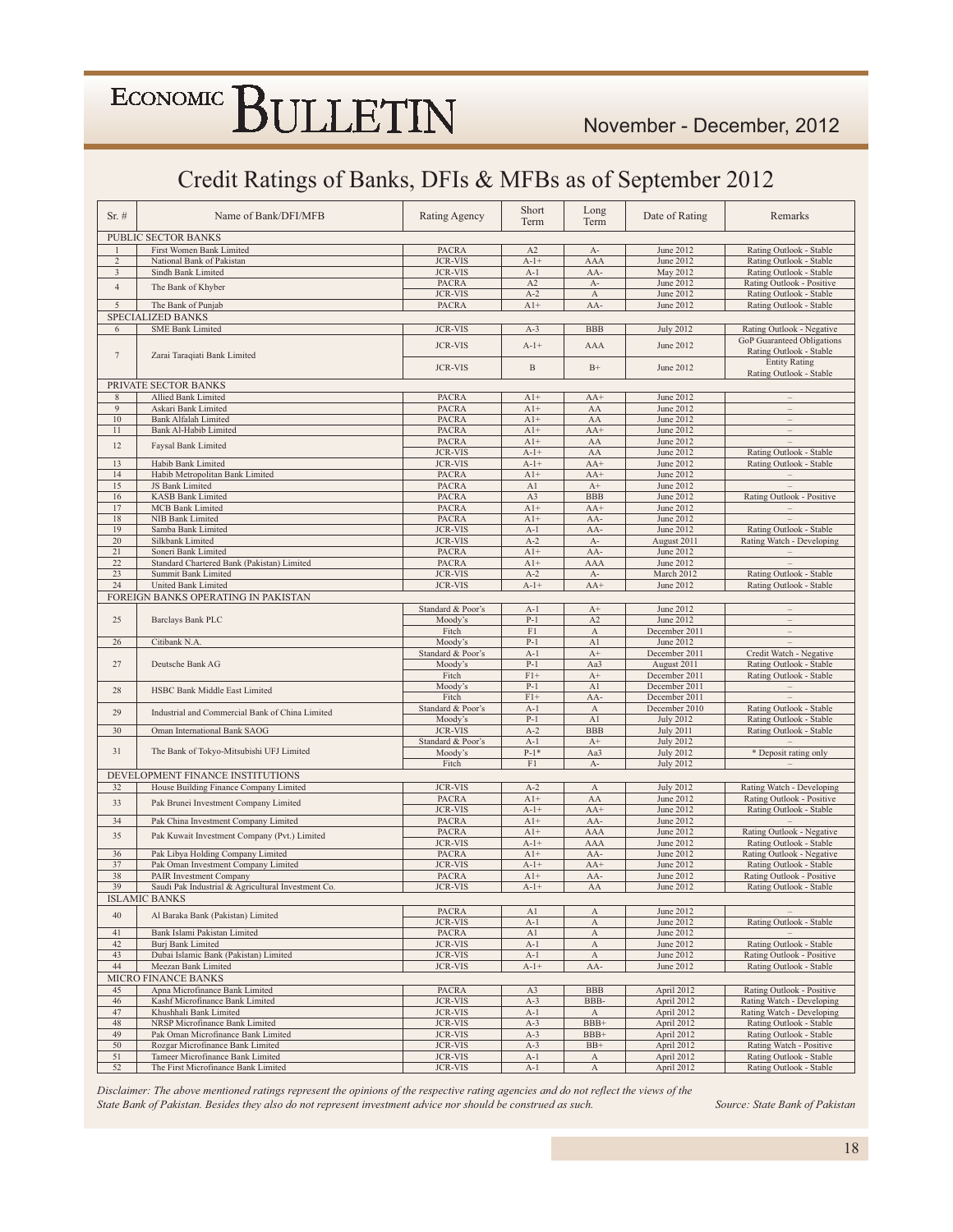### Credit Ratings of Banks, DFIs & MFBs as of September 2012

| Sr.#           | Name of Bank/DFI/MFB                                                    | Rating Agency     | Short<br>Term  | Long<br>Term              | Date of Rating   | Remarks                           |
|----------------|-------------------------------------------------------------------------|-------------------|----------------|---------------------------|------------------|-----------------------------------|
|                | PUBLIC SECTOR BANKS                                                     |                   |                |                           |                  |                                   |
| $\mathbf{1}$   | First Women Bank Limited                                                | <b>PACRA</b>      | A2             | $A-$                      | June 2012        | Rating Outlook - Stable           |
| $\overline{2}$ | National Bank of Pakistan                                               | <b>JCR-VIS</b>    | $A-1+$         | AAA                       | June 2012        | Rating Outlook - Stable           |
| 3              | Sindh Bank Limited                                                      | <b>JCR-VIS</b>    | $A-1$          | AA-                       | May 2012         | Rating Outlook - Stable           |
| $\overline{4}$ | The Bank of Khyber                                                      | <b>PACRA</b>      | A2             | $A-$                      | June 2012        | Rating Outlook - Positive         |
|                |                                                                         | <b>JCR-VIS</b>    | $A-2$          | $\boldsymbol{\mathrm{A}}$ | June 2012        | Rating Outlook - Stable           |
| 5              | The Bank of Punjab                                                      | <b>PACRA</b>      | $A1+$          | AA-                       | June 2012        | Rating Outlook - Stable           |
|                | SPECIALIZED BANKS                                                       |                   |                |                           |                  |                                   |
| 6              | <b>SME Bank Limited</b>                                                 | <b>JCR-VIS</b>    | $A-3$          | <b>BBB</b>                | <b>July 2012</b> | Rating Outlook - Negative         |
|                |                                                                         | <b>JCR-VIS</b>    | $A - 1 +$      | AAA                       | June 2012        | GoP Guaranteed Obligations        |
| $\tau$         | Zarai Taraqiati Bank Limited                                            |                   |                |                           |                  | Rating Outlook - Stable           |
|                |                                                                         | <b>JCR-VIS</b>    | $\, {\bf B}$   | $\rm B+$                  | June 2012        | <b>Entity Rating</b>              |
|                |                                                                         |                   |                |                           |                  | Rating Outlook - Stable           |
|                | PRIVATE SECTOR BANKS                                                    |                   |                |                           |                  |                                   |
| $\,$ 8 $\,$    | Allied Bank Limited                                                     | <b>PACRA</b>      | $A1+$          | $AA+$                     | June 2012        |                                   |
| 9              | Askari Bank Limited                                                     | <b>PACRA</b>      | $A1+$          | AA                        | June 2012        | $\qquad \qquad -$                 |
| 10             | <b>Bank Alfalah Limited</b>                                             | <b>PACRA</b>      | $A1+$          | AA                        | June 2012        | $\overline{\phantom{a}}$          |
| 11             | Bank Al-Habib Limited                                                   | <b>PACRA</b>      | $A1+$          | $AA+$                     | <b>June 2012</b> | $\qquad \qquad -$                 |
| 12             | Faysal Bank Limited                                                     | <b>PACRA</b>      | $A1+$          | AA                        | June 2012        |                                   |
|                |                                                                         | <b>JCR-VIS</b>    | $A-1+$         | ${\rm AA}$                | June 2012        | Rating Outlook - Stable           |
| 13             | Habib Bank Limited                                                      | <b>JCR-VIS</b>    | $A-1+$         | $AA+$                     | June 2012        | Rating Outlook - Stable           |
| 14             | Habib Metropolitan Bank Limited                                         | <b>PACRA</b>      | $A1+$          | $AA+$                     | June 2012        | $\overline{\phantom{a}}$          |
| 15             | JS Bank Limited                                                         | PACRA             | A1             | $A+$                      | June 2012        |                                   |
| 16             | <b>KASB Bank Limited</b>                                                | <b>PACRA</b>      | A3             | <b>BBB</b>                | June 2012        | Rating Outlook - Positive         |
| 17             | <b>MCB</b> Bank Limited                                                 | <b>PACRA</b>      | $A1+$          | $AA+$                     | June 2012        | $\qquad \qquad -$                 |
| 18             | NIB Bank Limited                                                        | <b>PACRA</b>      | $A1+$          | AA-                       | June 2012        |                                   |
| 19             | Samba Bank Limited                                                      | <b>JCR-VIS</b>    | $A-1$          | AA-                       | June 2012        | Rating Outlook - Stable           |
| 20             | Silkbank Limited                                                        | <b>JCR-VIS</b>    | $A-2$          | $A-$                      | August 2011      | Rating Watch - Developing         |
| 21             | Soneri Bank Limited                                                     | <b>PACRA</b>      | $A1+$          | AA-                       | June 2012        |                                   |
| 22             | Standard Chartered Bank (Pakistan) Limited                              | <b>PACRA</b>      | $A1+$          | AAA                       | June 2012        |                                   |
| 23             | Summit Bank Limited                                                     | <b>JCR-VIS</b>    | $A-2$          | $A-$                      | March 2012       | Rating Outlook - Stable           |
| 24             | United Bank Limited                                                     | <b>JCR-VIS</b>    | $A-1+$         | $AA+$                     | June 2012        | Rating Outlook - Stable           |
|                | FOREIGN BANKS OPERATING IN PAKISTAN                                     |                   |                |                           |                  |                                   |
|                |                                                                         | Standard & Poor's | $A-1$          | $A+$                      | June 2012        |                                   |
| 25             | Barclays Bank PLC                                                       | Moody's           | $P-1$          | A2                        | <b>June 2012</b> | $\equiv$                          |
|                |                                                                         | Fitch             | F1             | $\overline{A}$            | December 2011    | $\qquad \qquad -$                 |
| 26             | Citibank N.A.                                                           | Moody's           | $P-1$          | A1                        | June 2012        |                                   |
|                |                                                                         | Standard & Poor's | $A-1$          | $A+$                      | December 2011    | Credit Watch - Negative           |
| 27             | Deutsche Bank AG                                                        | Moody's           | $P-1$          | Aa3                       | August 2011      | Rating Outlook - Stable           |
|                |                                                                         | Fitch             | $F1+$          | $A+$                      | December 2011    | Rating Outlook - Stable           |
| 28             | HSBC Bank Middle East Limited                                           | Moody's           | $P-1$          | A1                        | December 2011    | $\overline{\phantom{a}}$          |
|                |                                                                         | Fitch             | $F1+$          | AA-                       | December 2011    |                                   |
| 29             | Industrial and Commercial Bank of China Limited                         | Standard & Poor's | $A-1$          | $\boldsymbol{A}$          | December 2010    | Rating Outlook - Stable           |
|                |                                                                         | Moody's           | $P-1$          | A1                        | <b>July 2012</b> | Rating Outlook - Stable           |
| 30             | Oman International Bank SAOG                                            | <b>JCR-VIS</b>    | $A-2$          | <b>BBB</b>                | <b>July 2011</b> | Rating Outlook - Stable           |
|                |                                                                         | Standard & Poor's | $A-1$          | $A+$                      | <b>July 2012</b> | <b>Contract Contract Contract</b> |
| 31             | The Bank of Tokyo-Mitsubishi UFJ Limited                                | Moody's           | $P-1*$         | Aa3                       | <b>July 2012</b> | * Deposit rating only             |
|                |                                                                         | Fitch             | F1             | $A-$                      | <b>July 2012</b> | $\equiv$                          |
|                | DEVELOPMENT FINANCE INSTITUTIONS                                        |                   |                |                           |                  |                                   |
| 32             | House Building Finance Company Limited                                  | <b>JCR-VIS</b>    | $A-2$          | $\boldsymbol{A}$          | <b>July 2012</b> | Rating Watch - Developing         |
| 33             | Pak Brunei Investment Company Limited                                   | <b>PACRA</b>      | $A1+$          | AA                        | June 2012        | Rating Outlook - Positive         |
|                |                                                                         | <b>JCR-VIS</b>    | $A-1+$         | $AA+$                     | June 2012        | Rating Outlook - Stable           |
| 34             | Pak China Investment Company Limited                                    | <b>PACRA</b>      | $A1+$          | AA-                       | June 2012        |                                   |
| 35             | Pak Kuwait Investment Company (Pvt.) Limited                            | <b>PACRA</b>      | $A1+$          | AAA                       | June 2012        | Rating Outlook - Negative         |
|                |                                                                         | <b>JCR-VIS</b>    | $A - 1 +$      | AAA                       | June 2012        | Rating Outlook - Stable           |
| 36             | Pak Libya Holding Company Limited                                       | <b>PACRA</b>      | $A1+$          | AA-                       | June 2012        | Rating Outlook - Negative         |
| 37             | Pak Oman Investment Company Limited                                     | <b>JCR-VIS</b>    | $A-1+$         | $AA+$                     | June 2012        | Rating Outlook - Stable           |
| 38             | PAIR Investment Company                                                 | <b>PACRA</b>      | $A1+$          | AA-                       | June 2012        | Rating Outlook - Positive         |
| 39             | Saudi Pak Industrial & Agricultural Investment Co.                      | <b>JCR-VIS</b>    | $A-1+$         | ${\rm AA}$                | June 2012        | Rating Outlook - Stable           |
|                | <b>ISLAMIC BANKS</b>                                                    |                   |                |                           |                  |                                   |
| 40             | Al Baraka Bank (Pakistan) Limited                                       | <b>PACRA</b>      | A <sub>1</sub> | A                         | June 2012        |                                   |
|                |                                                                         | <b>JCR-VIS</b>    | $A-1$          | A                         | June 2012        | Rating Outlook - Stable           |
| 41             | Bank Islami Pakistan Limited                                            | PACRA             | A1             | $\boldsymbol{A}$          | June 2012        |                                   |
| 42             | <b>Burj Bank Limited</b>                                                | <b>JCR-VIS</b>    | $A-1$          | A                         | June 2012        | Rating Outlook - Stable           |
| 43             | Dubai Islamic Bank (Pakistan) Limited                                   | <b>JCR-VIS</b>    | $A-1$          | $\boldsymbol{A}$          | June 2012        | Rating Outlook - Positive         |
| 44             | Meezan Bank Limited                                                     | <b>JCR-VIS</b>    | $A - 1 +$      | AA-                       | June 2012        | Rating Outlook - Stable           |
|                | MICRO FINANCE BANKS                                                     |                   |                |                           |                  |                                   |
| 45             | Apna Microfinance Bank Limited                                          | PACRA             | A3             | <b>BBB</b>                | April 2012       | Rating Outlook - Positive         |
| 46             | Kashf Microfinance Bank Limited                                         | <b>JCR-VIS</b>    | $A-3$          | BBB-                      | April 2012       | Rating Watch - Developing         |
| 47             | Khushhali Bank Limited                                                  | <b>JCR-VIS</b>    | $A-1$          | $\boldsymbol{A}$          | April 2012       | Rating Watch - Developing         |
| 48             | NRSP Microfinance Bank Limited                                          | <b>JCR-VIS</b>    | $A-3$          | BBB+                      | April 2012       | Rating Outlook - Stable           |
| 49             | Pak Oman Microfinance Bank Limited                                      | <b>JCR-VIS</b>    | $A-3$          | BBB+                      | April 2012       | Rating Outlook - Stable           |
| 50             | Rozgar Microfinance Bank Limited                                        | <b>JCR-VIS</b>    | $A-3$          | $BB+$                     | April 2012       | Rating Watch - Positive           |
|                |                                                                         |                   |                |                           |                  |                                   |
| 51             | Tameer Microfinance Bank Limited<br>The First Microfinance Bank Limited | <b>JCR-VIS</b>    | $A-1$          | А                         | April 2012       | Rating Outlook - Stable           |

Disclaimer: The above mentioned ratings represent the opinions of the respective rating agencies and do not reflect the views of the State Bank of Pakistan. Besides they also do not represent investment advice nor should be construed as such.

Source: State Bank of Pakistan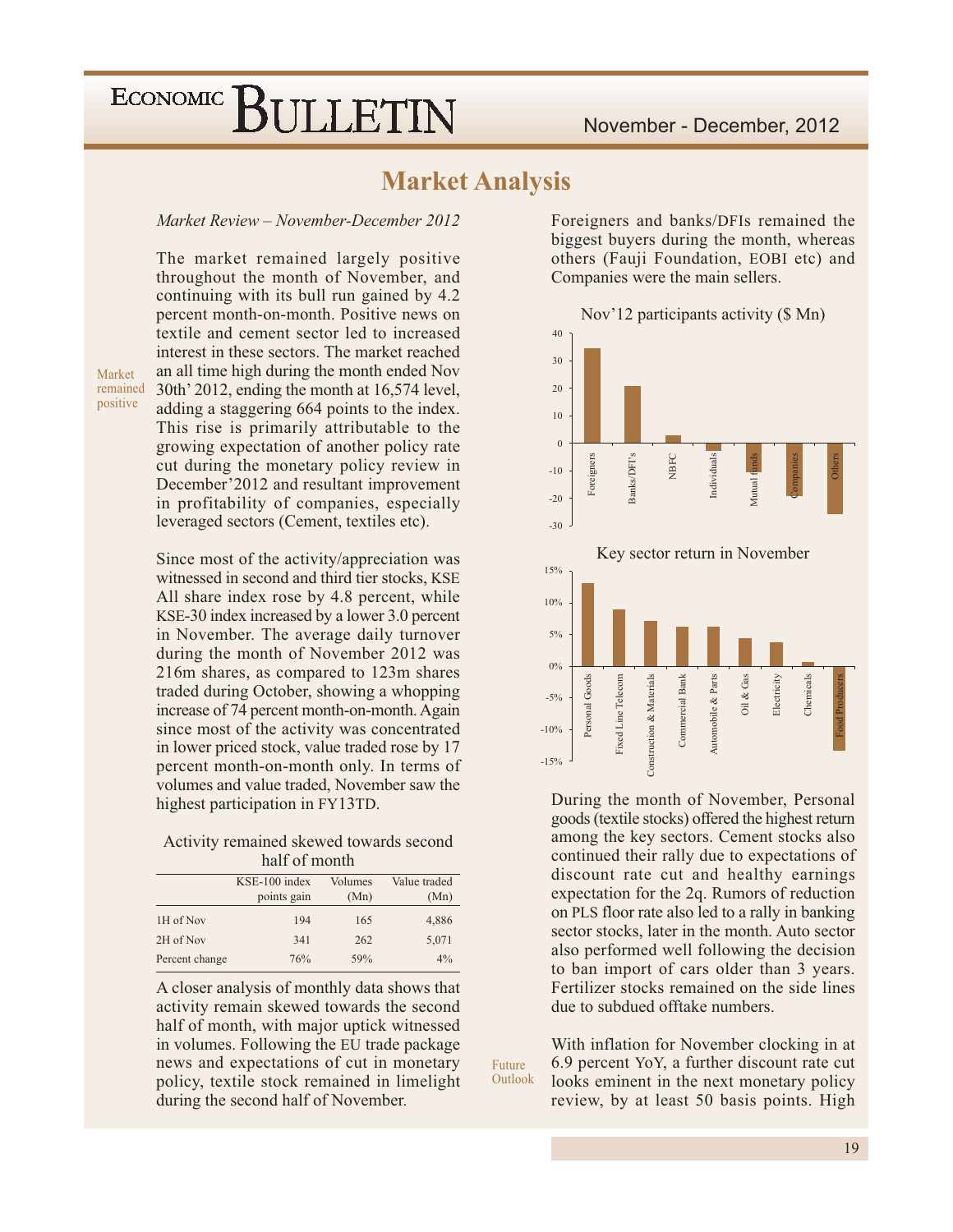### **Market Analysis**

#### Market Review - November-December 2012

The market remained largely positive throughout the month of November, and continuing with its bull run gained by 4.2 percent month-on-month. Positive news on textile and cement sector led to increased interest in these sectors. The market reached an all time high during the month ended Nov remained 30th' 2012, ending the month at 16,574 level, adding a staggering 664 points to the index. This rise is primarily attributable to the growing expectation of another policy rate cut during the monetary policy review in December'2012 and resultant improvement in profitability of companies, especially leveraged sectors (Cement, textiles etc).

Since most of the activity/appreciation was witnessed in second and third tier stocks, KSE All share index rose by 4.8 percent, while KSE-30 index increased by a lower 3.0 percent in November. The average daily turnover during the month of November 2012 was 216m shares, as compared to 123m shares traded during October, showing a whopping increase of 74 percent month-on-month. Again since most of the activity was concentrated in lower priced stock, value traded rose by 17 percent month-on-month only. In terms of volumes and value traded, November saw the highest participation in FY13TD.

Activity remained skewed towards second half of month

|                | $KSE-100$ index<br>points gain | Volumes<br>(Mn) | Value traded<br>(Mn) |
|----------------|--------------------------------|-----------------|----------------------|
| 1H of Nov      | 194                            | 165             | 4,886                |
| 2H of Nov      | 341                            | 262             | 5,071                |
| Percent change | 76%                            | 59%             | $4\%$                |

A closer analysis of monthly data shows that activity remain skewed towards the second half of month, with major uptick witnessed in volumes. Following the EU trade package news and expectations of cut in monetary policy, textile stock remained in limelight during the second half of November.

Foreigners and banks/DFIs remained the biggest buyers during the month, whereas others (Fauji Foundation, EOBI etc) and Companies were the main sellers.



During the month of November, Personal goods (textile stocks) offered the highest return among the key sectors. Cement stocks also continued their rally due to expectations of discount rate cut and healthy earnings expectation for the 2q. Rumors of reduction on PLS floor rate also led to a rally in banking sector stocks, later in the month. Auto sector also performed well following the decision to ban import of cars older than 3 years. Fertilizer stocks remained on the side lines due to subdued offtake numbers

With inflation for November clocking in at 6.9 percent YoY, a further discount rate cut looks eminent in the next monetary policy review, by at least 50 basis points. High

Future Outlook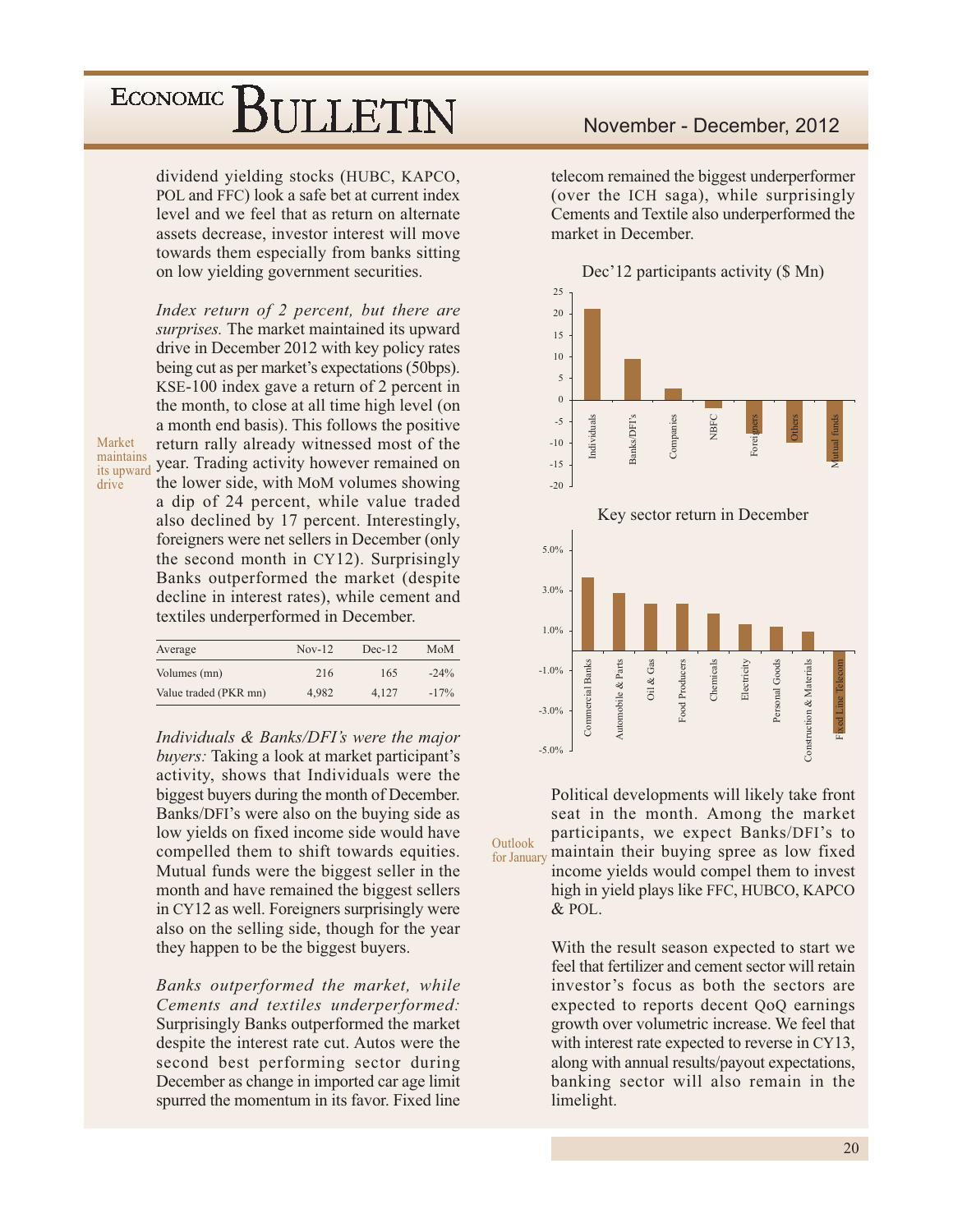dividend yielding stocks (HUBC, KAPCO, POL and FFC) look a safe bet at current index level and we feel that as return on alternate assets decrease, investor interest will move towards them especially from banks sitting on low yielding government securities.

Index return of 2 percent, but there are surprises. The market maintained its upward drive in December 2012 with key policy rates being cut as per market's expectations (50bps). KSE-100 index gave a return of 2 percent in the month, to close at all time high level (on a month end basis). This follows the positive return rally already witnessed most of the year. Trading activity however remained on the lower side, with MoM volumes showing a dip of 24 percent, while value traded also declined by 17 percent. Interestingly, foreigners were net sellers in December (only the second month in CY12). Surprisingly Banks outperformed the market (despite) decline in interest rates), while cement and textiles underperformed in December.

| Average               | $Nov-12$ | $Dec-12$ | MoM     |
|-----------------------|----------|----------|---------|
| Volumes (mn)          | 216      | 165      | $-24\%$ |
| Value traded (PKR mn) | 4.982    | 4.127    | $-17\%$ |

Individuals & Banks/DFI's were the major buyers: Taking a look at market participant's activity, shows that Individuals were the biggest buyers during the month of December. Banks/DFI's were also on the buying side as low yields on fixed income side would have compelled them to shift towards equities. Mutual funds were the biggest seller in the month and have remained the biggest sellers in CY12 as well. Foreigners surprisingly were also on the selling side, though for the year they happen to be the biggest buyers.

Banks outperformed the market, while Cements and textiles underperformed: Surprisingly Banks outperformed the market despite the interest rate cut. Autos were the second best performing sector during December as change in imported car age limit spurred the momentum in its favor. Fixed line

telecom remained the biggest underperformer (over the ICH saga), while surprisingly Cements and Textile also underperformed the market in December.



Political developments will likely take front seat in the month. Among the market participants, we expect Banks/DFI's to Outlook maintain their buying spree as low fixed for January income yields would compel them to invest high in yield plays like FFC, HUBCO, KAPCO & POL.

> With the result season expected to start we feel that fertilizer and cement sector will retain investor's focus as both the sectors are expected to reports decent QoQ earnings growth over volumetric increase. We feel that with interest rate expected to reverse in CY13, along with annual results/payout expectations, banking sector will also remain in the limelight.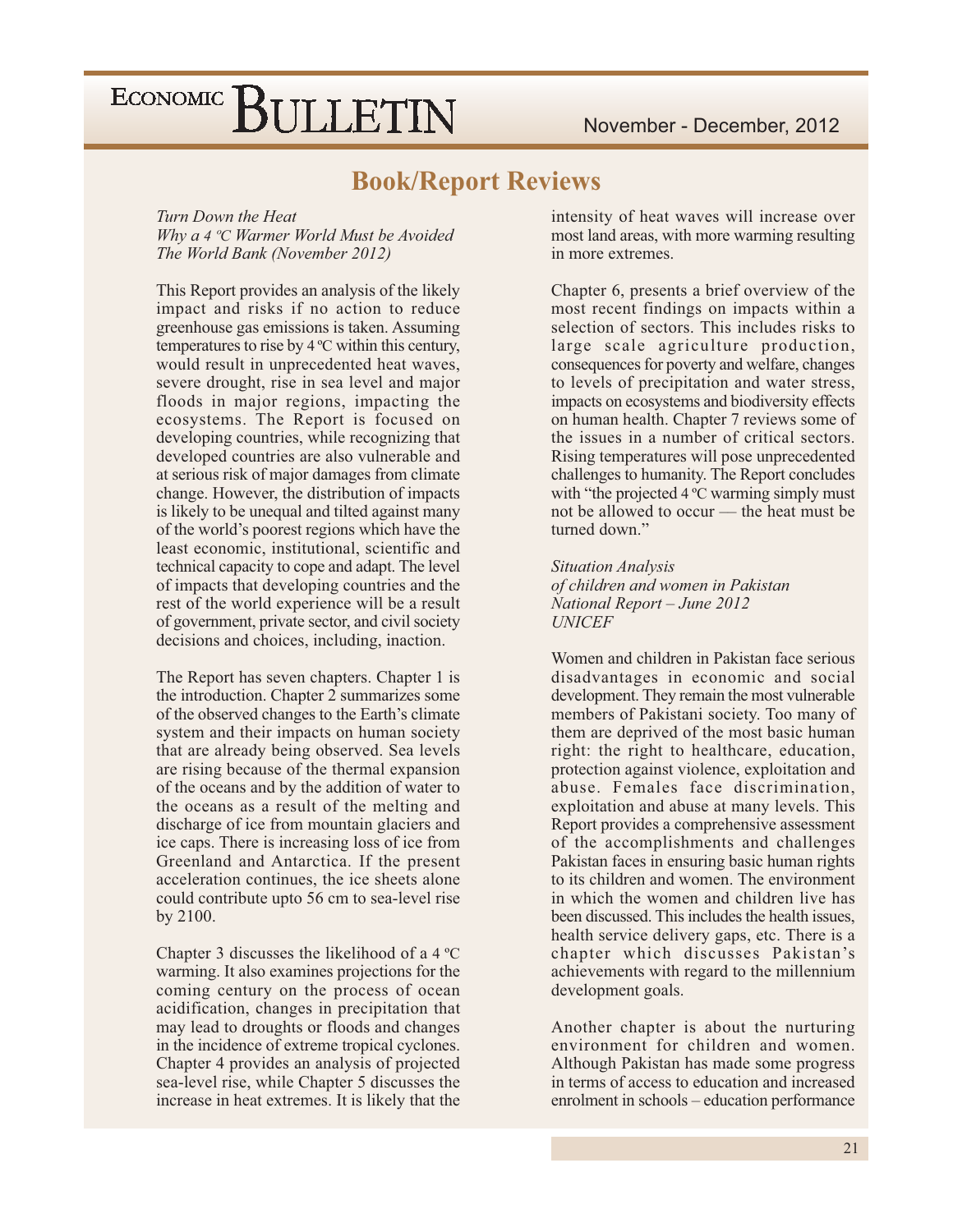### **Book/Report Reviews**

Turn Down the Heat Why a 4 °C Warmer World Must be Avoided The World Bank (November 2012)

This Report provides an analysis of the likely impact and risks if no action to reduce greenhouse gas emissions is taken. Assuming temperatures to rise by  $4^{\circ}$ C within this century, would result in unprecedented heat waves, severe drought, rise in sea level and major floods in major regions, impacting the ecosystems. The Report is focused on developing countries, while recognizing that developed countries are also vulnerable and at serious risk of major damages from climate change. However, the distribution of impacts is likely to be unequal and tilted against many of the world's poorest regions which have the least economic, institutional, scientific and technical capacity to cope and adapt. The level of impacts that developing countries and the rest of the world experience will be a result of government, private sector, and civil society decisions and choices, including, inaction.

The Report has seven chapters. Chapter 1 is the introduction. Chapter 2 summarizes some of the observed changes to the Earth's climate system and their impacts on human society that are already being observed. Sea levels are rising because of the thermal expansion of the oceans and by the addition of water to the oceans as a result of the melting and discharge of ice from mountain glaciers and ice caps. There is increasing loss of ice from Greenland and Antarctica. If the present acceleration continues, the ice sheets alone could contribute upto 56 cm to sea-level rise by 2100.

Chapter 3 discusses the likelihood of a 4 °C warming. It also examines projections for the coming century on the process of ocean acidification, changes in precipitation that may lead to droughts or floods and changes in the incidence of extreme tropical cyclones. Chapter 4 provides an analysis of projected sea-level rise, while Chapter 5 discusses the increase in heat extremes. It is likely that the intensity of heat waves will increase over most land areas, with more warming resulting in more extremes.

Chapter 6, presents a brief overview of the most recent findings on impacts within a selection of sectors. This includes risks to large scale agriculture production, consequences for poverty and welfare, changes to levels of precipitation and water stress, impacts on ecosystems and biodiversity effects on human health. Chapter 7 reviews some of the issues in a number of critical sectors. Rising temperatures will pose unprecedented challenges to humanity. The Report concludes with "the projected 4 °C warming simply must not be allowed to occur - the heat must be turned down."

**Situation Analysis** of children and women in Pakistan National Report - June 2012 **UNICEF** 

Women and children in Pakistan face serious disadvantages in economic and social development. They remain the most vulnerable members of Pakistani society. Too many of them are deprived of the most basic human right: the right to healthcare, education, protection against violence, exploitation and abuse. Females face discrimination, exploitation and abuse at many levels. This Report provides a comprehensive assessment of the accomplishments and challenges Pakistan faces in ensuring basic human rights to its children and women. The environment in which the women and children live has been discussed. This includes the health issues, health service delivery gaps, etc. There is a chapter which discusses Pakistan's achievements with regard to the millennium development goals.

Another chapter is about the nurturing environment for children and women. Although Pakistan has made some progress in terms of access to education and increased enrolment in schools – education performance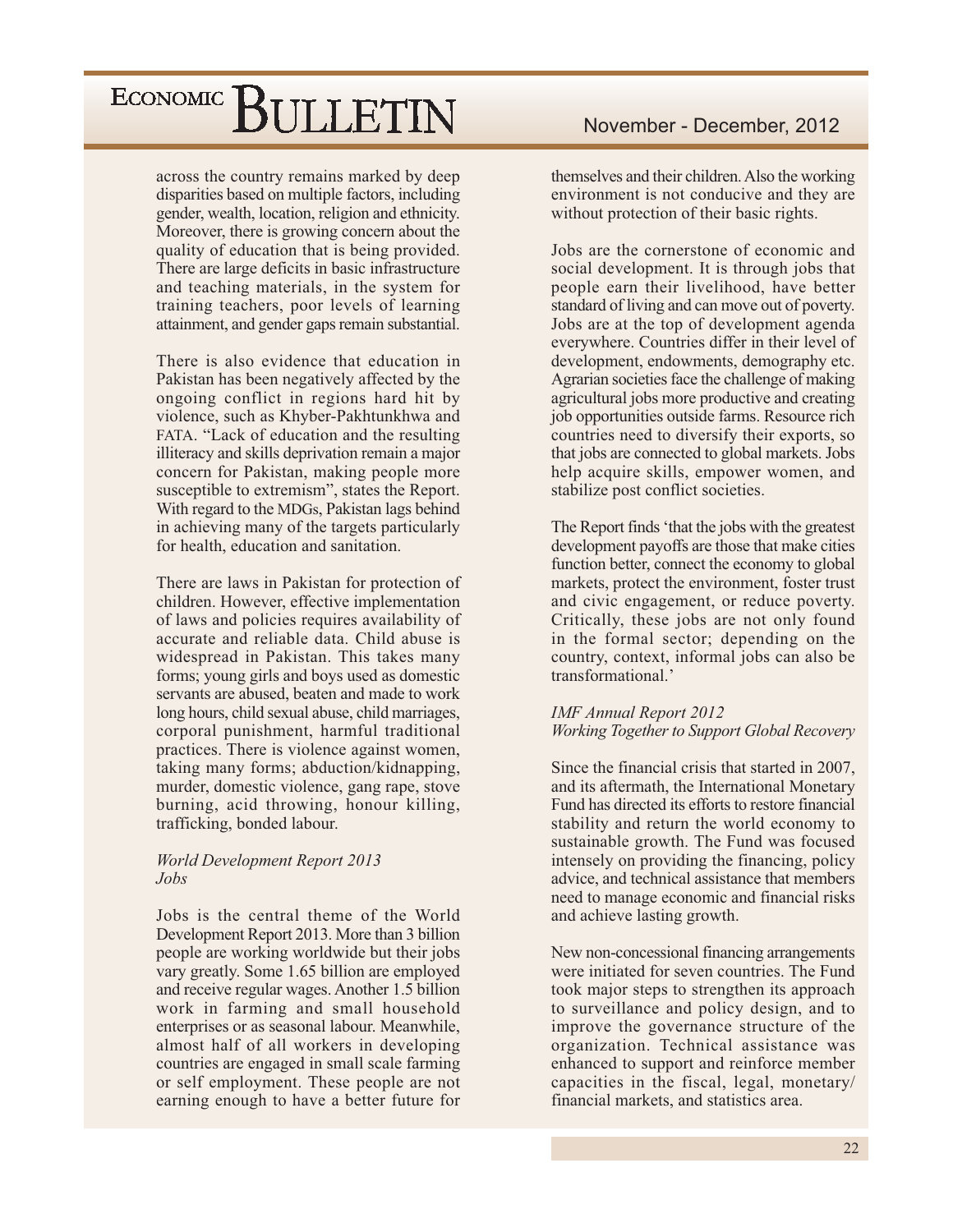across the country remains marked by deep disparities based on multiple factors, including gender, wealth, location, religion and ethnicity. Moreover, there is growing concern about the quality of education that is being provided. There are large deficits in basic infrastructure and teaching materials, in the system for training teachers, poor levels of learning attainment, and gender gaps remain substantial.

There is also evidence that education in Pakistan has been negatively affected by the ongoing conflict in regions hard hit by violence, such as Khyber-Pakhtunkhwa and FATA. "Lack of education and the resulting illiteracy and skills deprivation remain a major concern for Pakistan, making people more susceptible to extremism", states the Report. With regard to the MDGs, Pakistan lags behind in achieving many of the targets particularly for health, education and sanitation.

There are laws in Pakistan for protection of children. However, effective implementation of laws and policies requires availability of accurate and reliable data. Child abuse is widespread in Pakistan. This takes many forms; young girls and boys used as domestic servants are abused, beaten and made to work long hours, child sexual abuse, child marriages, corporal punishment, harmful traditional practices. There is violence against women, taking many forms; abduction/kidnapping, murder, domestic violence, gang rape, stove burning, acid throwing, honour killing, trafficking, bonded labour.

#### **World Development Report 2013** Jobs

Jobs is the central theme of the World Development Report 2013. More than 3 billion people are working worldwide but their jobs vary greatly. Some 1.65 billion are employed and receive regular wages. Another 1.5 billion work in farming and small household enterprises or as seasonal labour. Meanwhile, almost half of all workers in developing countries are engaged in small scale farming or self employment. These people are not earning enough to have a better future for

themselves and their children. Also the working environment is not conducive and they are without protection of their basic rights.

Jobs are the cornerstone of economic and social development. It is through jobs that people earn their livelihood, have better standard of living and can move out of poverty. Jobs are at the top of development agenda everywhere. Countries differ in their level of development, endowments, demography etc. Agrarian societies face the challenge of making agricultural jobs more productive and creating job opportunities outside farms. Resource rich countries need to diversify their exports, so that jobs are connected to global markets. Jobs help acquire skills, empower women, and stabilize post conflict societies.

The Report finds 'that the jobs with the greatest development payoffs are those that make cities function better, connect the economy to global markets, protect the environment, foster trust and civic engagement, or reduce poverty. Critically, these jobs are not only found in the formal sector; depending on the country, context, informal jobs can also be transformational.'

### **IMF Annual Report 2012** Working Together to Support Global Recovery

Since the financial crisis that started in 2007. and its aftermath, the International Monetary Fund has directed its efforts to restore financial stability and return the world economy to sustainable growth. The Fund was focused intensely on providing the financing, policy advice, and technical assistance that members need to manage economic and financial risks and achieve lasting growth.

New non-concessional financing arrangements were initiated for seven countries. The Fund took major steps to strengthen its approach to surveillance and policy design, and to improve the governance structure of the organization. Technical assistance was enhanced to support and reinforce member capacities in the fiscal, legal, monetary/ financial markets, and statistics area.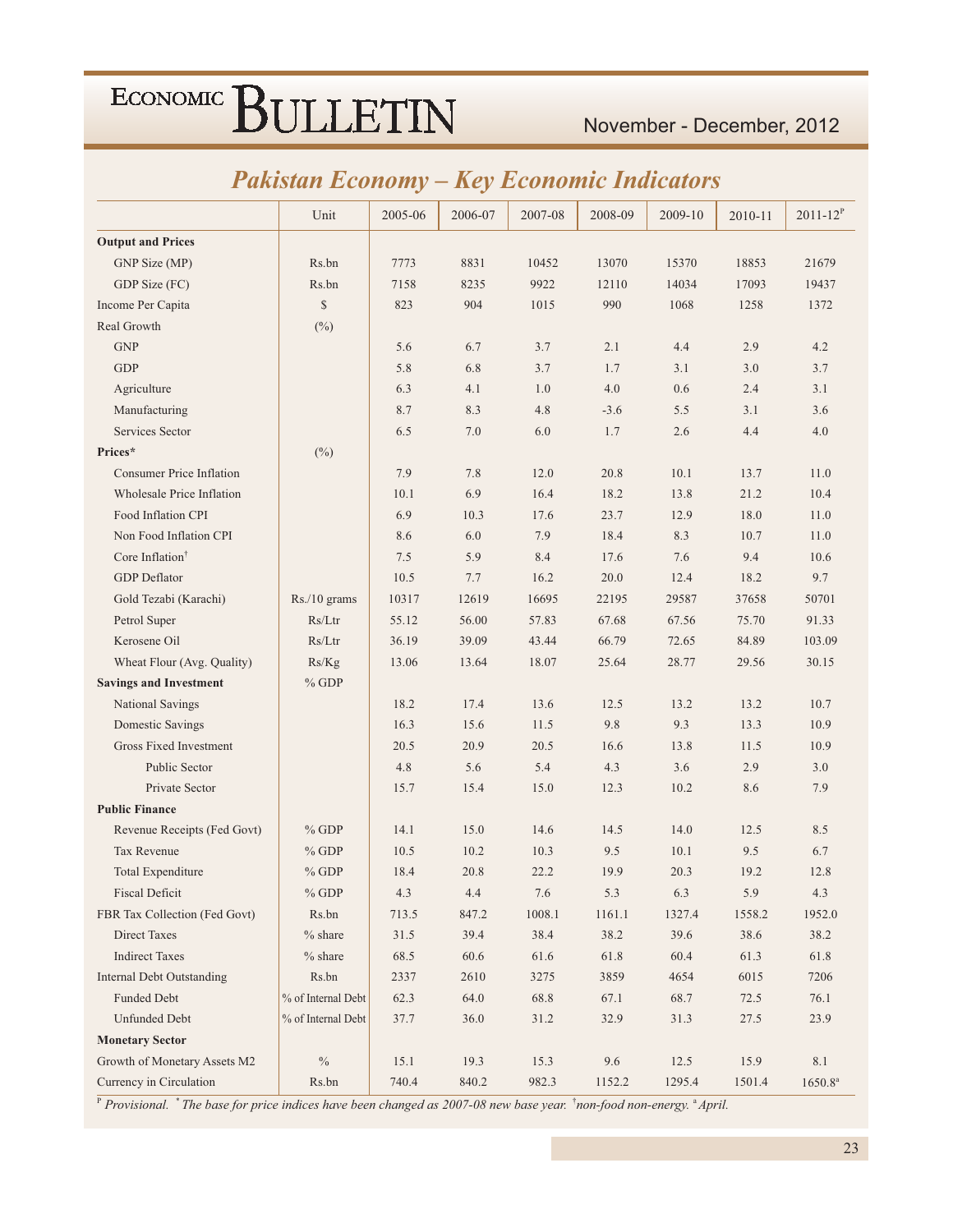### November - December, 2012

### **Pakistan Economy - Key Economic Indicators**

|                                  | Unit               | 2005-06 | 2006-07 | 2007-08 | 2008-09 | 2009-10 | 2010-11 | $2011 - 12^{P}$ |
|----------------------------------|--------------------|---------|---------|---------|---------|---------|---------|-----------------|
| <b>Output and Prices</b>         |                    |         |         |         |         |         |         |                 |
| GNP Size (MP)                    | Rs.bn              | 7773    | 8831    | 10452   | 13070   | 15370   | 18853   | 21679           |
| GDP Size (FC)                    | Rs.bn              | 7158    | 8235    | 9922    | 12110   | 14034   | 17093   | 19437           |
| Income Per Capita                | $\mathbb{S}$       | 823     | 904     | 1015    | 990     | 1068    | 1258    | 1372            |
| Real Growth                      | $(\%)$             |         |         |         |         |         |         |                 |
| <b>GNP</b>                       |                    | 5.6     | 6.7     | 3.7     | 2.1     | 4.4     | 2.9     | 4.2             |
| <b>GDP</b>                       |                    | 5.8     | 6.8     | 3.7     | 1.7     | 3.1     | 3.0     | 3.7             |
| Agriculture                      |                    | 6.3     | 4.1     | 1.0     | 4.0     | 0.6     | 2.4     | 3.1             |
| Manufacturing                    |                    | 8.7     | 8.3     | 4.8     | $-3.6$  | 5.5     | 3.1     | 3.6             |
| Services Sector                  |                    | 6.5     | 7.0     | 6.0     | 1.7     | 2.6     | 4.4     | 4.0             |
| Prices*                          | $(\%)$             |         |         |         |         |         |         |                 |
| <b>Consumer Price Inflation</b>  |                    | 7.9     | 7.8     | 12.0    | 20.8    | 10.1    | 13.7    | 11.0            |
| Wholesale Price Inflation        |                    | 10.1    | 6.9     | 16.4    | 18.2    | 13.8    | 21.2    | 10.4            |
| Food Inflation CPI               |                    | 6.9     | 10.3    | 17.6    | 23.7    | 12.9    | 18.0    | 11.0            |
| Non Food Inflation CPI           |                    | 8.6     | 6.0     | 7.9     | 18.4    | 8.3     | 10.7    | 11.0            |
| Core Inflation <sup>†</sup>      |                    | 7.5     | 5.9     | 8.4     | 17.6    | 7.6     | 9.4     | 10.6            |
| <b>GDP</b> Deflator              |                    | 10.5    | 7.7     | 16.2    | 20.0    | 12.4    | 18.2    | 9.7             |
| Gold Tezabi (Karachi)            | Rs./10 grams       | 10317   | 12619   | 16695   | 22195   | 29587   | 37658   | 50701           |
| Petrol Super                     | Rs/Ltr             | 55.12   | 56.00   | 57.83   | 67.68   | 67.56   | 75.70   | 91.33           |
| Kerosene Oil                     | Rs/Ltr             | 36.19   | 39.09   | 43.44   | 66.79   | 72.65   | 84.89   | 103.09          |
| Wheat Flour (Avg. Quality)       | Rs/Kg              | 13.06   | 13.64   | 18.07   | 25.64   | 28.77   | 29.56   | 30.15           |
| <b>Savings and Investment</b>    | $%$ GDP            |         |         |         |         |         |         |                 |
| National Savings                 |                    | 18.2    | 17.4    | 13.6    | 12.5    | 13.2    | 13.2    | 10.7            |
| Domestic Savings                 |                    | 16.3    | 15.6    | 11.5    | 9.8     | 9.3     | 13.3    | 10.9            |
| <b>Gross Fixed Investment</b>    |                    | 20.5    | 20.9    | 20.5    | 16.6    | 13.8    | 11.5    | 10.9            |
| <b>Public Sector</b>             |                    | 4.8     | 5.6     | 5.4     | 4.3     | 3.6     | 2.9     | 3.0             |
| Private Sector                   |                    | 15.7    | 15.4    | 15.0    | 12.3    | 10.2    | 8.6     | 7.9             |
| <b>Public Finance</b>            |                    |         |         |         |         |         |         |                 |
| Revenue Receipts (Fed Govt)      | $%$ GDP            | 14.1    | 15.0    | 14.6    | 14.5    | 14.0    | 12.5    | 8.5             |
| Tax Revenue                      | $%$ GDP            | 10.5    | 10.2    | 10.3    | 9.5     | 10.1    | 9.5     | 6.7             |
| <b>Total Expenditure</b>         | $%$ GDP            | 18.4    | 20.8    | 22.2    | 19.9    | 20.3    | 19.2    | 12.8            |
| <b>Fiscal Deficit</b>            | $%$ GDP            | 4.3     | 4.4     | 7.6     | 5.3     | 6.3     | 5.9     | 4.3             |
| FBR Tax Collection (Fed Govt)    | Rs.bn              | 713.5   | 847.2   | 1008.1  | 1161.1  | 1327.4  | 1558.2  | 1952.0          |
| <b>Direct Taxes</b>              | $%$ share          | 31.5    | 39.4    | 38.4    | 38.2    | 39.6    | 38.6    | 38.2            |
| <b>Indirect Taxes</b>            | $%$ share          | 68.5    | 60.6    | 61.6    | 61.8    | 60.4    | 61.3    | 61.8            |
| <b>Internal Debt Outstanding</b> | Rs.bn              | 2337    | 2610    | 3275    | 3859    | 4654    | 6015    | 7206            |
| Funded Debt                      | % of Internal Debt | 62.3    | 64.0    | 68.8    | 67.1    | 68.7    | 72.5    | 76.1            |
| <b>Unfunded Debt</b>             | % of Internal Debt | 37.7    | 36.0    | 31.2    | 32.9    | 31.3    | 27.5    | 23.9            |
| <b>Monetary Sector</b>           |                    |         |         |         |         |         |         |                 |
| Growth of Monetary Assets M2     | $\%$               | 15.1    | 19.3    | 15.3    | 9.6     | 12.5    | 15.9    | 8.1             |
| Currency in Circulation          | Rs.bn              | 740.4   | 840.2   | 982.3   | 1152.2  | 1295.4  | 1501.4  | $1650.8^{a}$    |

P Provisional. \* The base for price indices have been changed as 2007-08 new base year. \* non-food non-energy. \* April.